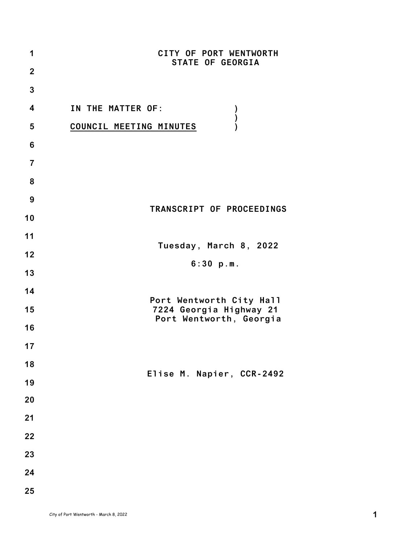| 1                       | CITY OF PORT WENTWORTH<br><b>STATE OF GEORGIA</b>   |
|-------------------------|-----------------------------------------------------|
| $\mathbf{2}$            |                                                     |
| 3                       |                                                     |
| $\overline{\mathbf{4}}$ | IN THE MATTER OF:                                   |
| 5                       | )<br>)<br>)<br>COUNCIL MEETING MINUTES              |
| 6                       |                                                     |
| $\overline{7}$          |                                                     |
| 8                       |                                                     |
| 9                       |                                                     |
| 10                      | TRANSCRIPT OF PROCEEDINGS                           |
| 11                      |                                                     |
| 12                      | Tuesday, March 8, 2022                              |
| 13                      | 6:30 p.m.                                           |
| 14                      |                                                     |
| 15                      | Port Wentworth City Hall<br>7224 Georgia Highway 21 |
| 16                      | Port Wentworth, Georgia                             |
| 17                      |                                                     |
| 18                      |                                                     |
| 19                      | Elise M. Napier, CCR-2492                           |
| 20                      |                                                     |
| 21                      |                                                     |
| 22                      |                                                     |
| 23                      |                                                     |
| 24                      |                                                     |
| 25                      |                                                     |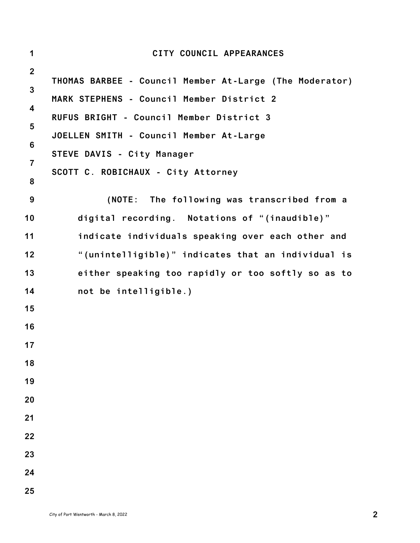| $\mathbf 1$             | CITY COUNCIL APPEARANCES                                |
|-------------------------|---------------------------------------------------------|
| $\boldsymbol{2}$        |                                                         |
| $\mathbf{3}$            | THOMAS BARBEE - Council Member At-Large (The Moderator) |
| $\overline{\mathbf{4}}$ | MARK STEPHENS - Council Member District 2               |
| $\overline{\mathbf{5}}$ | RUFUS BRIGHT - Council Member District 3                |
| $6\phantom{1}$          | JOELLEN SMITH - Council Member At-Large                 |
| 7                       | STEVE DAVIS - City Manager                              |
| 8                       | SCOTT C. ROBICHAUX - City Attorney                      |
| 9                       | (NOTE: The following was transcribed from a             |
| 10                      | digital recording. Notations of "(inaudible)"           |
| 11                      | indicate individuals speaking over each other and       |
| 12                      | "(unintelligible)" indicates that an individual is      |
| 13                      | either speaking too rapidly or too softly so as to      |
| 14                      | not be intelligible.)                                   |
| 15                      |                                                         |
| 16                      |                                                         |
| 17                      |                                                         |
| 18                      |                                                         |
| 19                      |                                                         |
| 20                      |                                                         |
| 21                      |                                                         |
| 22                      |                                                         |
| 23                      |                                                         |
| 24                      |                                                         |
| 25                      |                                                         |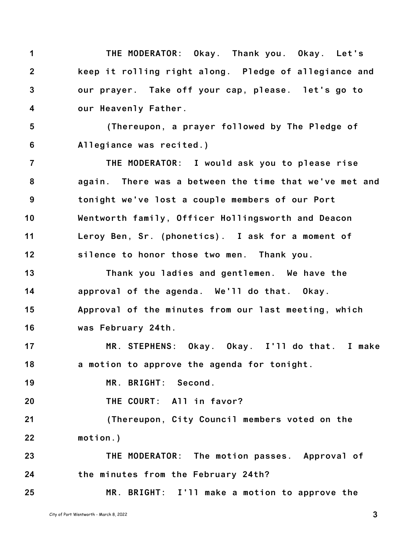**1 2 3 4 THE MODERATOR: Okay. Thank you. Okay. Let's keep it rolling right along. Pledge of allegiance and our prayer. Take off your cap, please. let's go to our Heavenly Father.**

**5 6 (Thereupon, a prayer followed by The Pledge of Allegiance was recited.)**

**7 8 9 10 11 12 THE MODERATOR: I would ask you to please rise again. There was a between the time that we've met and tonight we've lost a couple members of our Port Wentworth family, Officer Hollingsworth and Deacon Leroy Ben, Sr. (phonetics). I ask for a moment of silence to honor those two men. Thank you.**

**13 14 15 16 Thank you ladies and gentlemen. We have the approval of the agenda. We'll do that. Okay. Approval of the minutes from our last meeting, which was February 24th.**

**17 18 MR. STEPHENS: Okay. Okay. I'll do that. I make a motion to approve the agenda for tonight.**

**19 MR. BRIGHT: Second.**

**20 THE COURT: All in favor?**

**21 22 (Thereupon, City Council members voted on the motion.)**

**23 24 THE MODERATOR: The motion passes. Approval of the minutes from the February 24th?**

**25 MR. BRIGHT: I'll make a motion to approve the**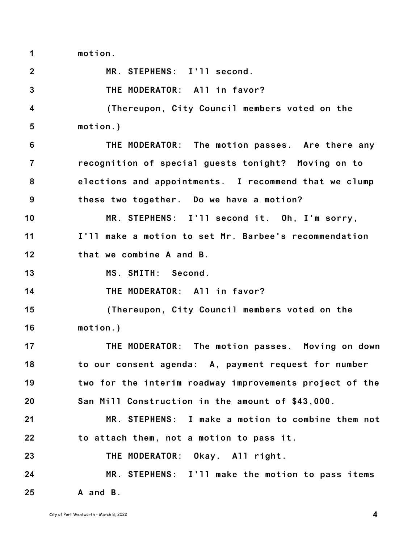**1 motion.**

**2 3 4 5 6 7 8 9 10 11 12 13 14 15 16 17 18 19 20 21 22 23 24 25 MR. STEPHENS: I'll second. THE MODERATOR: All in favor? (Thereupon, City Council members voted on the motion.) THE MODERATOR: The motion passes. Are there any recognition of special guests tonight? Moving on to elections and appointments. I recommend that we clump these two together. Do we have a motion? MR. STEPHENS: I'll second it. Oh, I'm sorry, I'll make a motion to set Mr. Barbee's recommendation that we combine A and B. MS. SMITH: Second. THE MODERATOR: All in favor? (Thereupon, City Council members voted on the motion.) THE MODERATOR: The motion passes. Moving on down to our consent agenda: A, payment request for number two for the interim roadway improvements project of the San Mill Construction in the amount of \$43,000. MR. STEPHENS: I make a motion to combine them not to attach them, not a motion to pass it. THE MODERATOR: Okay. All right. MR. STEPHENS: I'll make the motion to pass items A and B.**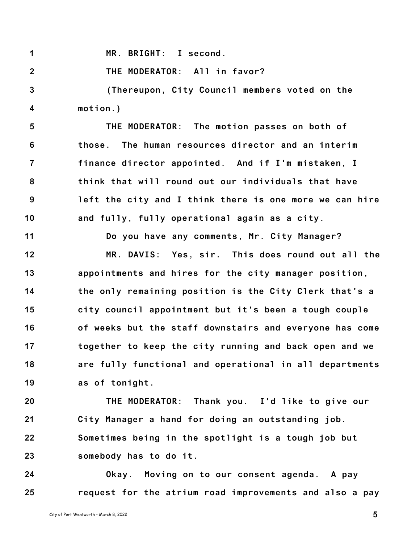**1 MR. BRIGHT: I second.**

**2 THE MODERATOR: All in favor?**

**3 4 (Thereupon, City Council members voted on the motion.)**

**5 6 7 8 9 10 THE MODERATOR: The motion passes on both of those. The human resources director and an interim finance director appointed. And if I'm mistaken, I think that will round out our individuals that have left the city and I think there is one more we can hire and fully, fully operational again as a city.**

**Do you have any comments, Mr. City Manager?**

**12 13 14 15 16 17 18 19 MR. DAVIS: Yes, sir. This does round out all the appointments and hires for the city manager position, the only remaining position is the City Clerk that's a city council appointment but it's been a tough couple of weeks but the staff downstairs and everyone has come together to keep the city running and back open and we are fully functional and operational in all departments as of tonight.**

**20 21 22 23 THE MODERATOR: Thank you. I'd like to give our City Manager a hand for doing an outstanding job. Sometimes being in the spotlight is a tough job but somebody has to do it.**

**24 25 Okay. Moving on to our consent agenda. A pay request for the atrium road improvements and also a pay**

**11**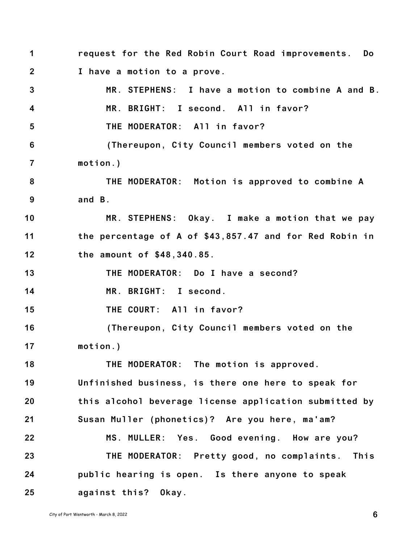**1 2 3 4 5 6 7 8 9 10 11 12 13 14 15 16 17 18 19 20 21 22 23 24 25 request for the Red Robin Court Road improvements. Do I have a motion to a prove. MR. STEPHENS: I have a motion to combine A and B. MR. BRIGHT: I second. All in favor? THE MODERATOR: All in favor? (Thereupon, City Council members voted on the motion.) THE MODERATOR: Motion is approved to combine A and B. MR. STEPHENS: Okay. I make a motion that we pay the percentage of A of \$43,857.47 and for Red Robin in the amount of \$48,340.85. THE MODERATOR: Do I have a second? MR. BRIGHT: I second. THE COURT: All in favor? (Thereupon, City Council members voted on the motion.) THE MODERATOR: The motion is approved. Unfinished business, is there one here to speak for this alcohol beverage license application submitted by Susan Muller (phonetics)? Are you here, ma'am? MS. MULLER: Yes. Good evening. How are you? THE MODERATOR: Pretty good, no complaints. This public hearing is open. Is there anyone to speak against this? Okay.**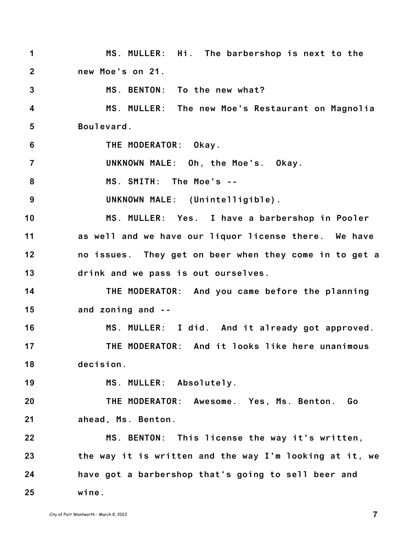**1 2 3 4 5 6 7 8 9 10 11 12 13 14 15 16 17 18 19 20 21 22 23 24 25 MS. MULLER: Hi. The barbershop is next to the new Moe's on 21. MS. BENTON: To the new what? MS. MULLER: The new Moe's Restaurant on Magnolia Boulevard. THE MODERATOR: Okay. UNKNOWN MALE: Oh, the Moe's. Okay. MS. SMITH: The Moe's -- UNKNOWN MALE: (Unintelligible). MS. MULLER: Yes. I have a barbershop in Pooler as well and we have our liquor license there. We have no issues. They get on beer when they come in to get a drink and we pass is out ourselves. THE MODERATOR: And you came before the planning and zoning and -- MS. MULLER: I did. And it already got approved. THE MODERATOR: And it looks like here unanimous decision. MS. MULLER: Absolutely. THE MODERATOR: Awesome. Yes, Ms. Benton. Go ahead, Ms. Benton. MS. BENTON: This license the way it's written, the way it is written and the way I'm looking at it, we have got a barbershop that's going to sell beer and wine.**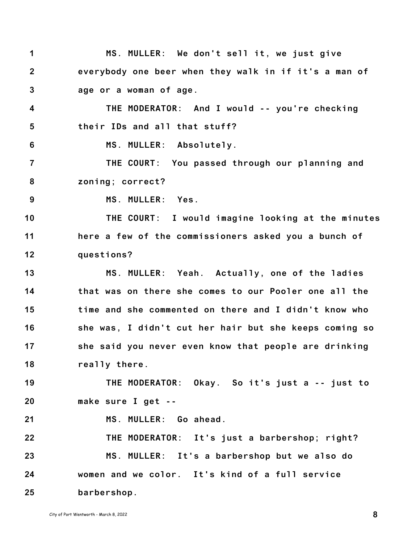| 1                       | MS. MULLER: We don't sell it, we just give             |
|-------------------------|--------------------------------------------------------|
| $\overline{2}$          | everybody one beer when they walk in if it's a man of  |
| $\mathbf{3}$            | age or a woman of age.                                 |
| $\overline{\mathbf{4}}$ | THE MODERATOR: And I would -- you're checking          |
| $5\phantom{.0}$         | their IDs and all that stuff?                          |
| 6                       | MS. MULLER: Absolutely.                                |
| $\overline{7}$          | THE COURT: You passed through our planning and         |
| 8                       | zoning; correct?                                       |
| 9                       | MS. MULLER: Yes.                                       |
| 10                      | THE COURT: I would imagine looking at the minutes      |
| 11                      | here a few of the commissioners asked you a bunch of   |
| 12                      | questions?                                             |
| 13                      | MS. MULLER: Yeah. Actually, one of the ladies          |
| 14                      | that was on there she comes to our Pooler one all the  |
| 15                      | time and she commented on there and I didn't know who  |
| 16                      | she was, I didn't cut her hair but she keeps coming so |
| 17                      | she said you never even know that people are drinking  |
| 18                      | really there.                                          |
| 19                      | THE MODERATOR: Okay. So it's just a -- just to         |
| 20                      | make sure I get --                                     |
| 21                      | MS. MULLER: Go ahead.                                  |
| 22                      | THE MODERATOR: It's just a barbershop; right?          |
| 23                      | MS. MULLER: It's a barbershop but we also do           |
| 24                      | women and we color. It's kind of a full service        |
| 25                      | barbershop.                                            |

City of Port Wentworth - March 8, <sup>2022</sup> **8**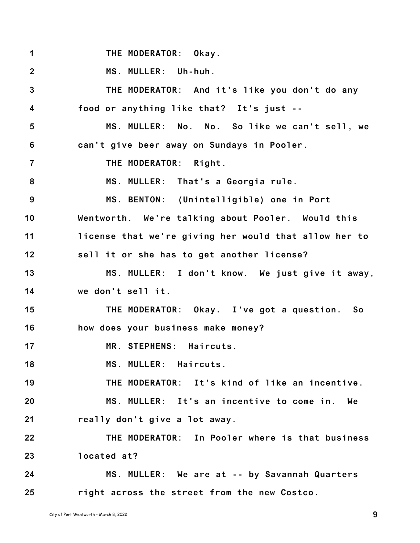| 1                       | THE MODERATOR: Okay.                                  |
|-------------------------|-------------------------------------------------------|
| $\boldsymbol{2}$        | MS. MULLER: Uh-huh.                                   |
| $\mathbf{3}$            | THE MODERATOR: And it's like you don't do any         |
| $\overline{\mathbf{4}}$ | food or anything like that? It's just --              |
| $5\phantom{.0}$         | MS. MULLER: No. No. So like we can't sell, we         |
| $6\phantom{1}$          | can't give beer away on Sundays in Pooler.            |
| $\overline{7}$          | THE MODERATOR: Right.                                 |
| 8                       | MS. MULLER: That's a Georgia rule.                    |
| 9                       | MS. BENTON: (Unintelligible) one in Port              |
| 10                      | Wentworth. We're talking about Pooler. Would this     |
| 11                      | license that we're giving her would that allow her to |
| 12                      | sell it or she has to get another license?            |
| 13                      | MS. MULLER: I don't know. We just give it away,       |
| 14                      | we don't sell it.                                     |
| 15                      | THE MODERATOR: Okay. I've got a question. So          |
| 16                      | how does your business make money?                    |
| 17                      | MR. STEPHENS: Haircuts.                               |
| 18                      | MS. MULLER: Haircuts.                                 |
| 19                      | THE MODERATOR: It's kind of like an incentive.        |
| 20                      | MS. MULLER: It's an incentive to come in. We          |
| 21                      | really don't give a lot away.                         |
| 22                      | THE MODERATOR: In Pooler where is that business       |
| 23                      | located at?                                           |
| 24                      | MS. MULLER: We are at -- by Savannah Quarters         |
| 25                      | right across the street from the new Costco.          |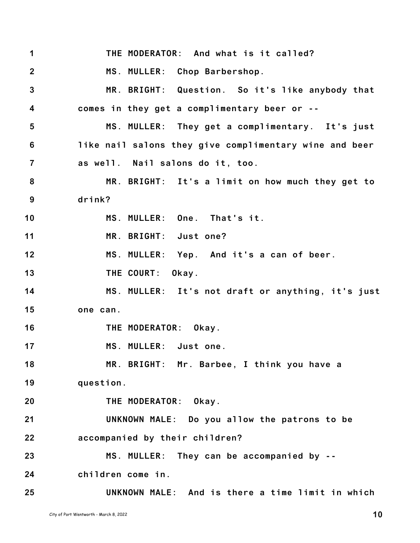**1 2 3 4 5 6 7 8 9 10 11 12 13 14 15 16 17 18 19 20 21 22 23 24 25 THE MODERATOR: And what is it called? MS. MULLER: Chop Barbershop. MR. BRIGHT: Question. So it's like anybody that comes in they get a complimentary beer or -- MS. MULLER: They get a complimentary. It's just like nail salons they give complimentary wine and beer as well. Nail salons do it, too. MR. BRIGHT: It's a limit on how much they get to drink? MS. MULLER: One. That's it. MR. BRIGHT: Just one? MS. MULLER: Yep. And it's a can of beer. THE COURT: Okay. MS. MULLER: It's not draft or anything, it's just one can. THE MODERATOR: Okay. MS. MULLER: Just one. MR. BRIGHT: Mr. Barbee, I think you have a question. THE MODERATOR: Okay. UNKNOWN MALE: Do you allow the patrons to be accompanied by their children? MS. MULLER: They can be accompanied by - children come in. UNKNOWN MALE: And is there a time limit in which**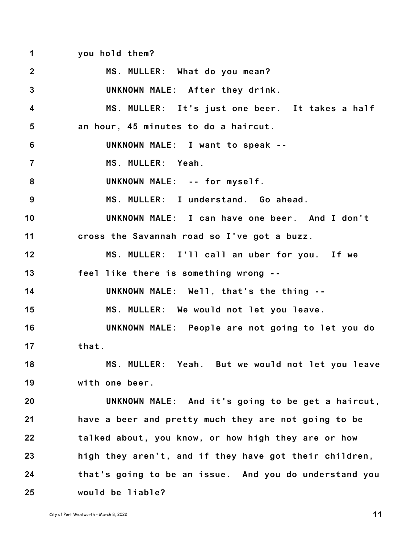**1 you hold them?**

**2 3 4 5 6 7 8 9 10 11 12 13 14 15 16 17 18 19 20 21 22 23 24 25 MS. MULLER: What do you mean? UNKNOWN MALE: After they drink. MS. MULLER: It's just one beer. It takes a half an hour, 45 minutes to do a haircut. UNKNOWN MALE: I want to speak -- MS. MULLER: Yeah. UNKNOWN MALE: -- for myself. MS. MULLER: I understand. Go ahead. UNKNOWN MALE: I can have one beer. And I don't cross the Savannah road so I've got a buzz. MS. MULLER: I'll call an uber for you. If we feel like there is something wrong -- UNKNOWN MALE: Well, that's the thing -- MS. MULLER: We would not let you leave. UNKNOWN MALE: People are not going to let you do that. MS. MULLER: Yeah. But we would not let you leave with one beer. UNKNOWN MALE: And it's going to be get a haircut, have a beer and pretty much they are not going to be talked about, you know, or how high they are or how high they aren't, and if they have got their children, that's going to be an issue. And you do understand you would be liable?**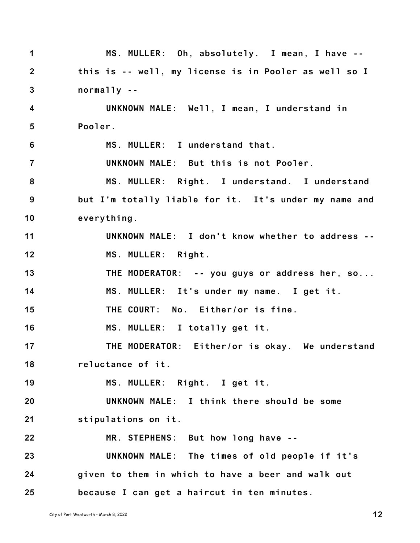| $\mathbf 1$             | MS. MULLER: Oh, absolutely. I mean, I have --         |
|-------------------------|-------------------------------------------------------|
| $\overline{2}$          | this is -- well, my license is in Pooler as well so I |
| $\mathbf{3}$            | $normally - -$                                        |
| $\overline{\mathbf{4}}$ | UNKNOWN MALE: Well, I mean, I understand in           |
| 5                       | Pooler.                                               |
| $6\phantom{1}$          | MS. MULLER: I understand that.                        |
| $\overline{7}$          | UNKNOWN MALE: But this is not Pooler.                 |
| 8                       | MS. MULLER: Right. I understand. I understand         |
| 9                       | but I'm totally liable for it. It's under my name and |
| 10                      | everything.                                           |
| 11                      | UNKNOWN MALE: I don't know whether to address --      |
| 12                      | MS. MULLER: Right.                                    |
| 13                      | THE MODERATOR: -- you guys or address her, so         |
| 14                      | MS. MULLER: It's under my name. I get it.             |
| 15                      | THE COURT: No. Either/or is fine.                     |
| 16                      | MS. MULLER: I totally get it.                         |
| 17                      | THE MODERATOR: Either/or is okay. We understand       |
| 18                      | reluctance of it.                                     |
| 19                      | MS. MULLER: Right. I get it.                          |
| 20                      | UNKNOWN MALE: I think there should be some            |
| 21                      | stipulations on it.                                   |
| 22                      | MR. STEPHENS: But how long have --                    |
| 23                      | UNKNOWN MALE: The times of old people if it's         |
| 24                      | given to them in which to have a beer and walk out    |
| 25                      | because I can get a haircut in ten minutes.           |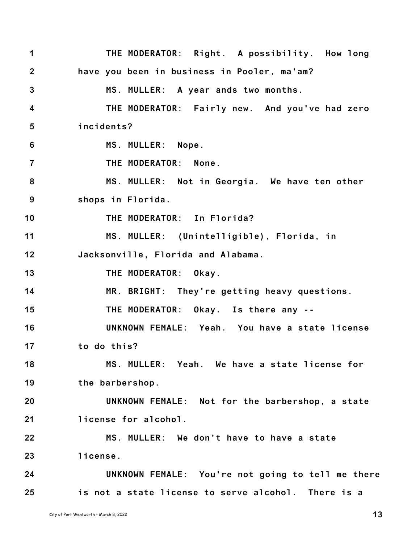**1 2 3 4 5 6 7 8 9 10 11 12 13 14 15 16 17 18 19 20 21 22 23 24 25 THE MODERATOR: Right. A possibility. How long have you been in business in Pooler, ma'am? MS. MULLER: A year ands two months. THE MODERATOR: Fairly new. And you've had zero incidents? MS. MULLER: Nope. THE MODERATOR: None. MS. MULLER: Not in Georgia. We have ten other shops in Florida. THE MODERATOR: In Florida? MS. MULLER: (Unintelligible), Florida, in Jacksonville, Florida and Alabama. THE MODERATOR: Okay. MR. BRIGHT: They're getting heavy questions. THE MODERATOR: Okay. Is there any -- UNKNOWN FEMALE: Yeah. You have a state license to do this? MS. MULLER: Yeah. We have a state license for the barbershop. UNKNOWN FEMALE: Not for the barbershop, a state license for alcohol. MS. MULLER: We don't have to have a state license. UNKNOWN FEMALE: You're not going to tell me there is not a state license to serve alcohol. There is a**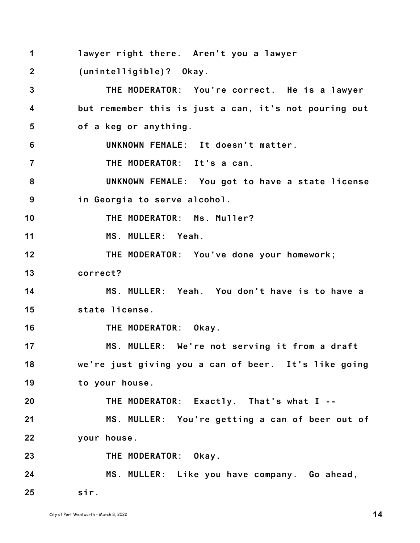| 1                       | lawyer right there. Aren't you a lawyer               |
|-------------------------|-------------------------------------------------------|
| $\overline{2}$          | (unintelligible)? Okay.                               |
| $\mathbf{3}$            | THE MODERATOR: You're correct. He is a lawyer         |
| $\overline{\mathbf{4}}$ | but remember this is just a can, it's not pouring out |
| $\overline{\mathbf{5}}$ | of a keg or anything.                                 |
| 6                       | UNKNOWN FEMALE: It doesn't matter.                    |
| $\overline{7}$          | THE MODERATOR: It's a can.                            |
| 8                       | UNKNOWN FEMALE: You got to have a state license       |
| 9                       | in Georgia to serve alcohol.                          |
| 10                      | THE MODERATOR: Ms. Muller?                            |
| 11                      | MS. MULLER: Yeah.                                     |
| 12                      | THE MODERATOR: You've done your homework;             |
| 13                      | correct?                                              |
| 14                      | MS. MULLER: Yeah. You don't have is to have a         |
| 15                      | state license.                                        |
| 16                      | THE MODERATOR: Okay.                                  |
| 17                      | MS. MULLER: We're not serving it from a draft         |
| 18                      | we're just giving you a can of beer. It's like going  |
| 19                      | to your house.                                        |
| 20                      | THE MODERATOR: Exactly. That's what I --              |
| 21                      | MS. MULLER: You're getting a can of beer out of       |
| 22                      | your house.                                           |
| 23                      | THE MODERATOR: Okay.                                  |
| 24                      | MS. MULLER: Like you have company. Go ahead,          |
| 25                      | sir.                                                  |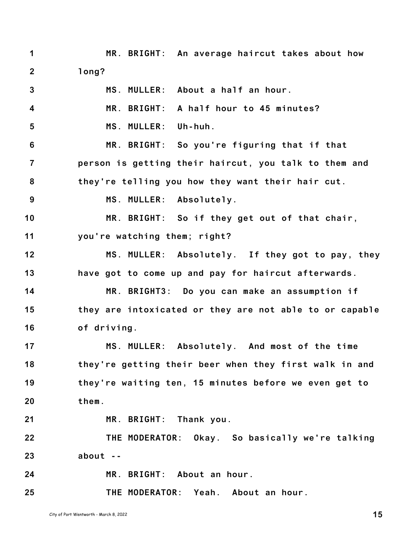**1 2 MR. BRIGHT: An average haircut takes about how long?**

**3 4 5 6 7 8 9 10 11 12 13 14 15 16 17 18 19 20 21 22 23 24 25 MS. MULLER: About a half an hour. MR. BRIGHT: A half hour to 45 minutes? MS. MULLER: Uh-huh. MR. BRIGHT: So you're figuring that if that person is getting their haircut, you talk to them and they're telling you how they want their hair cut. MS. MULLER: Absolutely. MR. BRIGHT: So if they get out of that chair, you're watching them; right? MS. MULLER: Absolutely. If they got to pay, they have got to come up and pay for haircut afterwards. MR. BRIGHT3: Do you can make an assumption if they are intoxicated or they are not able to or capable of driving. MS. MULLER: Absolutely. And most of the time they're getting their beer when they first walk in and they're waiting ten, 15 minutes before we even get to them. MR. BRIGHT: Thank you. THE MODERATOR: Okay. So basically we're talking about -- MR. BRIGHT: About an hour. THE MODERATOR: Yeah. About an hour.**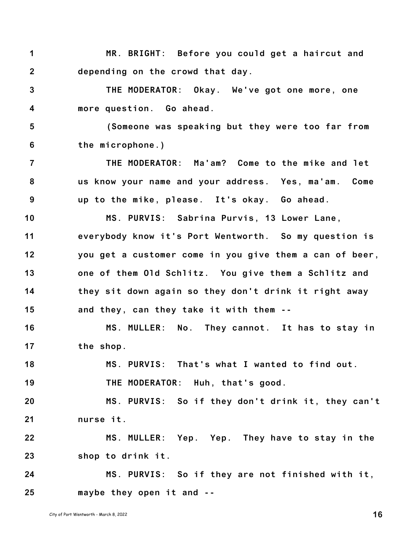**1 2 MR. BRIGHT: Before you could get a haircut and depending on the crowd that day.**

**3 4 THE MODERATOR: Okay. We've got one more, one more question. Go ahead.**

**5 6 (Someone was speaking but they were too far from the microphone.)**

**7 8 9 THE MODERATOR: Ma'am? Come to the mike and let us know your name and your address. Yes, ma'am. Come up to the mike, please. It's okay. Go ahead.**

**10 11 12 13 14 15 MS. PURVIS: Sabrina Purvis, 13 Lower Lane, everybody know it's Port Wentworth. So my question is you get a customer come in you give them a can of beer, one of them Old Schlitz. You give them a Schlitz and they sit down again so they don't drink it right away and they, can they take it with them --**

**16 17 MS. MULLER: No. They cannot. It has to stay in the shop.**

**18 MS. PURVIS: That's what I wanted to find out.**

**19 THE MODERATOR: Huh, that's good.**

**20 21 MS. PURVIS: So if they don't drink it, they can't nurse it.**

**22 23 MS. MULLER: Yep. Yep. They have to stay in the shop to drink it.**

**24 25 MS. PURVIS: So if they are not finished with it, maybe they open it and --**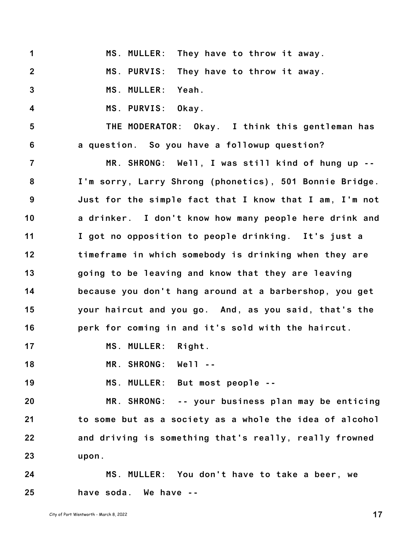**1 2 3 4 5 6 7 8 9 10 11 12 13 14 15 16 17 18 19 20 21 22 23 24 MS. MULLER: They have to throw it away. MS. PURVIS: They have to throw it away. MS. MULLER: Yeah. MS. PURVIS: Okay. THE MODERATOR: Okay. I think this gentleman has a question. So you have a followup question? MR. SHRONG: Well, I was still kind of hung up -- I'm sorry, Larry Shrong (phonetics), 501 Bonnie Bridge. Just for the simple fact that I know that I am, I'm not a drinker. I don't know how many people here drink and I got no opposition to people drinking. It's just a timeframe in which somebody is drinking when they are going to be leaving and know that they are leaving because you don't hang around at a barbershop, you get your haircut and you go. And, as you said, that's the perk for coming in and it's sold with the haircut. MS. MULLER: Right. MR. SHRONG: Well -- MS. MULLER: But most people -- MR. SHRONG: -- your business plan may be enticing to some but as a society as a whole the idea of alcohol and driving is something that's really, really frowned upon. MS. MULLER: You don't have to take a beer, we have soda. We have --**

**25**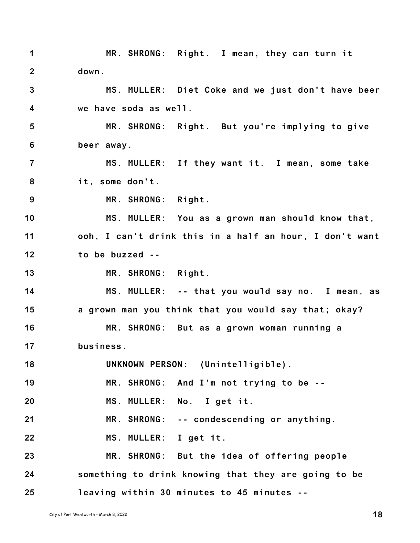**1 2 3 4 MR. SHRONG: Right. I mean, they can turn it down. MS. MULLER: Diet Coke and we just don't have beer we have soda as well.**

**5 6 MR. SHRONG: Right. But you're implying to give beer away.**

**7 8 MS. MULLER: If they want it. I mean, some take it, some don't.**

**9 MR. SHRONG: Right.**

**10 11 12 MS. MULLER: You as a grown man should know that, ooh, I can't drink this in a half an hour, I don't want to be buzzed --**

**13 MR. SHRONG: Right.**

**14 15 16 MS. MULLER: -- that you would say no. I mean, as a grown man you think that you would say that; okay? MR. SHRONG: But as a grown woman running a**

**17 business.**

**18 UNKNOWN PERSON: (Unintelligible).**

**19 MR. SHRONG: And I'm not trying to be --**

**20 MS. MULLER: No. I get it.**

**21 MR. SHRONG: -- condescending or anything.**

**22 MS. MULLER: I get it.**

**23 24 25 MR. SHRONG: But the idea of offering people something to drink knowing that they are going to be leaving within 30 minutes to 45 minutes --**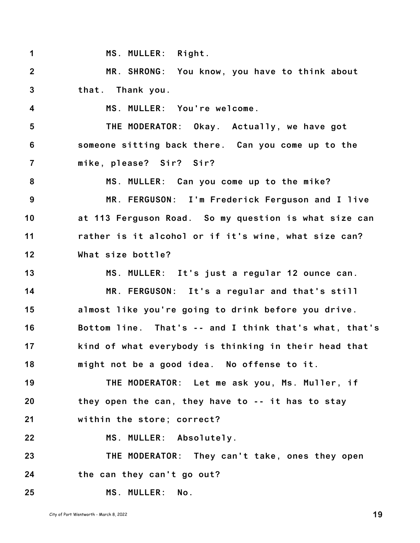| $\mathbf 1$             | MS. MULLER: Right.                                     |
|-------------------------|--------------------------------------------------------|
| $\overline{2}$          | MR. SHRONG: You know, you have to think about          |
| $\mathbf{3}$            | that. Thank you.                                       |
| $\overline{\mathbf{4}}$ | MS. MULLER: You're welcome.                            |
| $5\phantom{.0}$         | THE MODERATOR: Okay. Actually, we have got             |
| 6                       | someone sitting back there. Can you come up to the     |
| $\overline{7}$          | mike, please? Sir? Sir?                                |
| 8                       | MS. MULLER: Can you come up to the mike?               |
| 9                       | MR. FERGUSON: I'm Frederick Ferguson and I live        |
| 10                      | at 113 Ferguson Road. So my question is what size can  |
| 11                      | rather is it alcohol or if it's wine, what size can?   |
| 12                      | What size bottle?                                      |
| 13                      | MS. MULLER: It's just a regular 12 ounce can.          |
| 14                      | MR. FERGUSON: It's a regular and that's still          |
| 15                      | almost like you're going to drink before you drive.    |
| 16                      | Bottom line. That's -- and I think that's what, that's |
| 17                      | kind of what everybody is thinking in their head that  |
| 18                      | might not be a good idea. No offense to it.            |
| 19                      | THE MODERATOR: Let me ask you, Ms. Muller, if          |
| 20                      | they open the can, they have to -- it has to stay      |
| 21                      | within the store; correct?                             |
| 22                      | MS. MULLER: Absolutely.                                |
| 23                      | THE MODERATOR: They can't take, ones they open         |
| 24                      | the can they can't go out?                             |
| 25                      | MS. MULLER: No.                                        |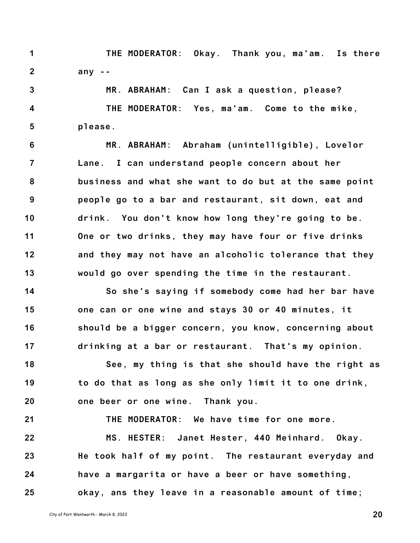**1 2 THE MODERATOR: Okay. Thank you, ma'am. Is there any --**

**3 4 5 MR. ABRAHAM: Can I ask a question, please? THE MODERATOR: Yes, ma'am. Come to the mike, please.**

**6 7 8 9 10 11 12 13 MR. ABRAHAM: Abraham (unintelligible), Lovelor Lane. I can understand people concern about her business and what she want to do but at the same point people go to a bar and restaurant, sit down, eat and drink. You don't know how long they're going to be. One or two drinks, they may have four or five drinks and they may not have an alcoholic tolerance that they would go over spending the time in the restaurant.**

**14 15 16 17 So she's saying if somebody come had her bar have one can or one wine and stays 30 or 40 minutes, it should be a bigger concern, you know, concerning about drinking at a bar or restaurant. That's my opinion.**

**18 19 20 See, my thing is that she should have the right as to do that as long as she only limit it to one drink, one beer or one wine. Thank you.**

**21 22 23 24 25 THE MODERATOR: We have time for one more. MS. HESTER: Janet Hester, 440 Meinhard. Okay. He took half of my point. The restaurant everyday and have a margarita or have a beer or have something, okay, ans they leave in a reasonable amount of time;**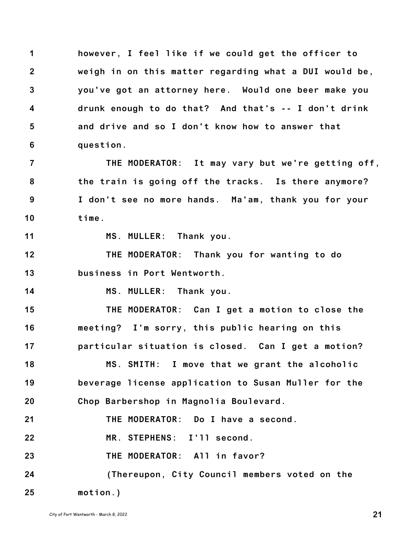**1 2 3 4 5 6 however, I feel like if we could get the officer to weigh in on this matter regarding what a DUI would be, you've got an attorney here. Would one beer make you drunk enough to do that? And that's -- I don't drink and drive and so I don't know how to answer that question.**

**7 8 9 10 THE MODERATOR: It may vary but we're getting off, the train is going off the tracks. Is there anymore? I don't see no more hands. Ma'am, thank you for your time.**

**11**

**MS. MULLER: Thank you.**

**12 13 THE MODERATOR: Thank you for wanting to do business in Port Wentworth.**

**14 MS. MULLER: Thank you.**

**15 16 17 THE MODERATOR: Can I get a motion to close the meeting? I'm sorry, this public hearing on this particular situation is closed. Can I get a motion?**

**18 19 20 MS. SMITH: I move that we grant the alcoholic beverage license application to Susan Muller for the Chop Barbershop in Magnolia Boulevard.**

**21 THE MODERATOR: Do I have a second.**

**22 MR. STEPHENS: I'll second.**

**23 THE MODERATOR: All in favor?**

**24 25 (Thereupon, City Council members voted on the motion.)**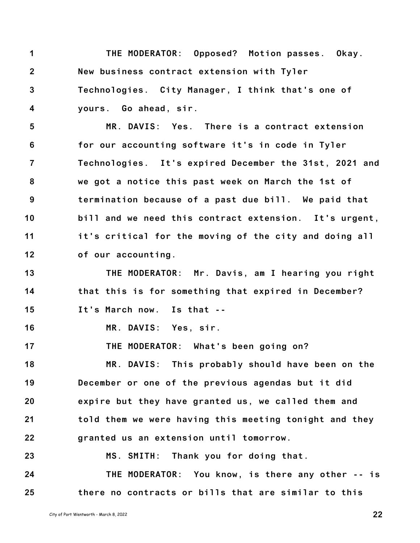**1 2 3 4 THE MODERATOR: Opposed? Motion passes. Okay. New business contract extension with Tyler Technologies. City Manager, I think that's one of yours. Go ahead, sir.**

**5 6 7 8 9 10 11 12 MR. DAVIS: Yes. There is a contract extension for our accounting software it's in code in Tyler Technologies. It's expired December the 31st, 2021 and we got a notice this past week on March the 1st of termination because of a past due bill. We paid that bill and we need this contract extension. It's urgent, it's critical for the moving of the city and doing all of our accounting.**

**13 14 15 THE MODERATOR: Mr. Davis, am I hearing you right that this is for something that expired in December? It's March now. Is that --**

**16 MR. DAVIS: Yes, sir.**

**18 19 20 21 22 MR. DAVIS: This probably should have been on the December or one of the previous agendas but it did expire but they have granted us, we called them and told them we were having this meeting tonight and they granted us an extension until tomorrow.**

**THE MODERATOR: What's been going on?**

**23 24 25 MS. SMITH: Thank you for doing that. THE MODERATOR: You know, is there any other -- is there no contracts or bills that are similar to this**

**17**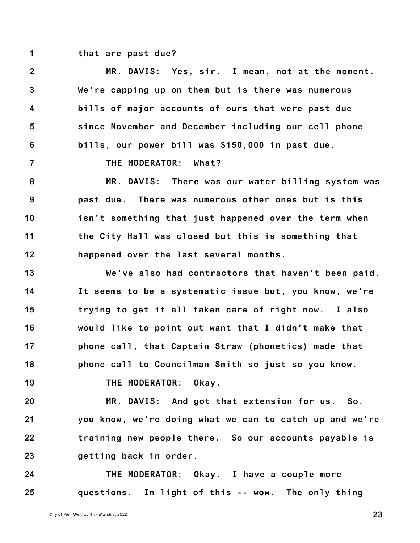**1 that are past due?**

**2 3 4 5 6 7 8 9 10 11 12 13 14 15 16 17 18 19 20 21 22 23 24 25 MR. DAVIS: Yes, sir. I mean, not at the moment. We're capping up on them but is there was numerous bills of major accounts of ours that were past due since November and December including our cell phone bills, our power bill was \$150,000 in past due. THE MODERATOR: What? MR. DAVIS: There was our water billing system was past due. There was numerous other ones but is this isn't something that just happened over the term when the City Hall was closed but this is something that happened over the last several months. We've also had contractors that haven't been paid. It seems to be a systematic issue but, you know, we're trying to get it all taken care of right now. I also would like to point out want that I didn't make that phone call, that Captain Straw (phonetics) made that phone call to Councilman Smith so just so you know. THE MODERATOR: Okay. MR. DAVIS: And got that extension for us. So, you know, we're doing what we can to catch up and we're training new people there. So our accounts payable is getting back in order. THE MODERATOR: Okay. I have a couple more questions. In light of this -- wow. The only thing**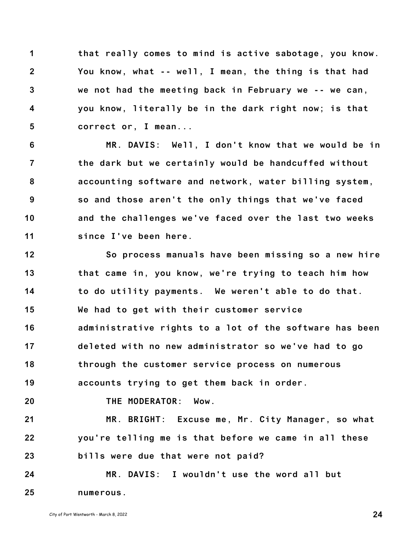**1 2 3 4 5 that really comes to mind is active sabotage, you know. You know, what -- well, I mean, the thing is that had we not had the meeting back in February we -- we can, you know, literally be in the dark right now; is that correct or, I mean...**

**6 7 8 9 10 11 MR. DAVIS: Well, I don't know that we would be in the dark but we certainly would be handcuffed without accounting software and network, water billing system, so and those aren't the only things that we've faced and the challenges we've faced over the last two weeks since I've been here.**

**12 13 14 15 16 17 18 19 20 21 22 23 24 25 So process manuals have been missing so a new hire that came in, you know, we're trying to teach him how to do utility payments. We weren't able to do that. We had to get with their customer service administrative rights to a lot of the software has been deleted with no new administrator so we've had to go through the customer service process on numerous accounts trying to get them back in order. THE MODERATOR: Wow. MR. BRIGHT: Excuse me, Mr. City Manager, so what you're telling me is that before we came in all these bills were due that were not paid? MR. DAVIS: I wouldn't use the word all but numerous.**

City of Port Wentworth - March 8, <sup>2022</sup> **24**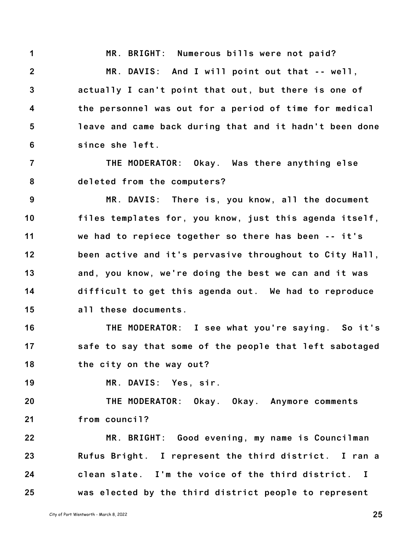**1 2 3 4 5 6 MR. BRIGHT: Numerous bills were not paid? MR. DAVIS: And I will point out that -- well, actually I can't point that out, but there is one of the personnel was out for a period of time for medical leave and came back during that and it hadn't been done since she left.**

**7 8 THE MODERATOR: Okay. Was there anything else deleted from the computers?**

**9 10 11 12 13 14 15 MR. DAVIS: There is, you know, all the document files templates for, you know, just this agenda itself, we had to repiece together so there has been -- it's been active and it's pervasive throughout to City Hall, and, you know, we're doing the best we can and it was difficult to get this agenda out. We had to reproduce all these documents.**

**16 17 18 THE MODERATOR: I see what you're saying. So it's safe to say that some of the people that left sabotaged the city on the way out?**

**19 MR. DAVIS: Yes, sir.**

**20 21 THE MODERATOR: Okay. Okay. Anymore comments from council?**

**22 23 24 25 MR. BRIGHT: Good evening, my name is Councilman Rufus Bright. I represent the third district. I ran a clean slate. I'm the voice of the third district. I was elected by the third district people to represent**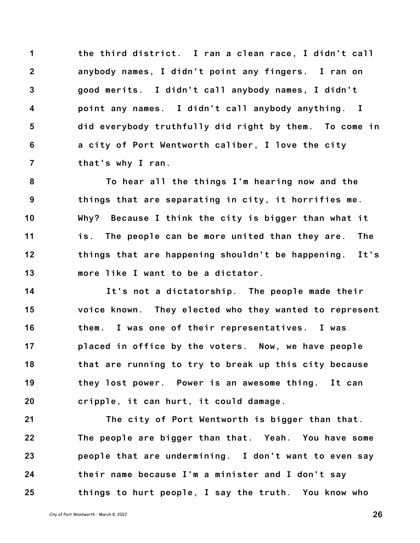**1 2 3 4 5 6 7 the third district. I ran a clean race, I didn't call anybody names, I didn't point any fingers. I ran on good merits. I didn't call anybody names, I didn't point any names. I didn't call anybody anything. I did everybody truthfully did right by them. To come in a city of Port Wentworth caliber, I love the city that's why I ran.**

**8 9 10 11 12 13 To hear all the things I'm hearing now and the things that are separating in city, it horrifies me. Why? Because I think the city is bigger than what it is. The people can be more united than they are. The things that are happening shouldn't be happening. It's more like I want to be a dictator.**

**14 15 16 17 18 19 20 It's not a dictatorship. The people made their voice known. They elected who they wanted to represent them. I was one of their representatives. I was placed in office by the voters. Now, we have people that are running to try to break up this city because they lost power. Power is an awesome thing. It can cripple, it can hurt, it could damage.**

**21 22 23 24 25 The city of Port Wentworth is bigger than that. The people are bigger than that. Yeah. You have some people that are undermining. I don't want to even say their name because I'm a minister and I don't say things to hurt people, I say the truth. You know who**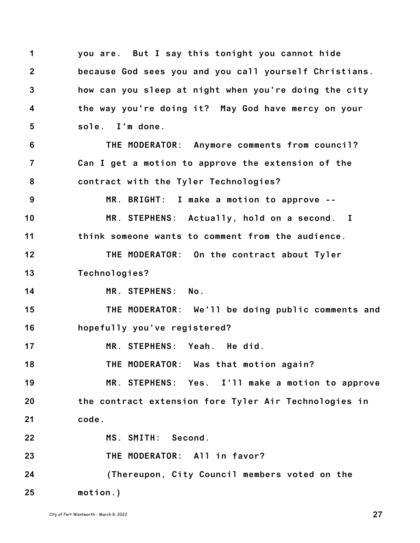**1 2 3 4 5 6 7 8 9 10 11 12 13 14 15 16 17 18 19 20 21 22 23 24 25 you are. But I say this tonight you cannot hide because God sees you and you call yourself Christians. how can you sleep at night when you're doing the city the way you're doing it? May God have mercy on your sole. I'm done. THE MODERATOR: Anymore comments from council? Can I get a motion to approve the extension of the contract with the Tyler Technologies? MR. BRIGHT: I make a motion to approve -- MR. STEPHENS: Actually, hold on a second. I think someone wants to comment from the audience. THE MODERATOR: On the contract about Tyler Technologies? MR. STEPHENS: No. THE MODERATOR: We'll be doing public comments and hopefully you've registered? MR. STEPHENS: Yeah. He did. THE MODERATOR: Was that motion again? MR. STEPHENS: Yes. I'll make a motion to approve the contract extension fore Tyler Air Technologies in code. MS. SMITH: Second. THE MODERATOR: All in favor? (Thereupon, City Council members voted on the motion.)**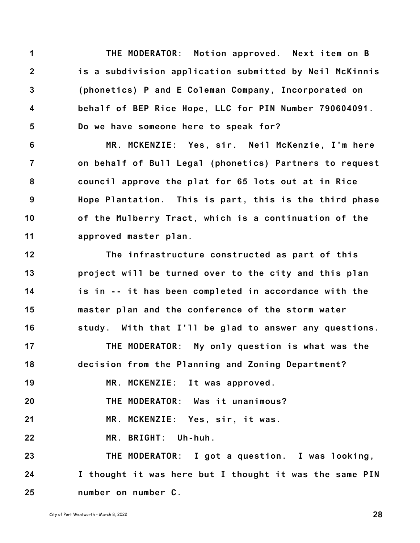**1 2 3 4 5 THE MODERATOR: Motion approved. Next item on B is a subdivision application submitted by Neil McKinnis (phonetics) P and E Coleman Company, Incorporated on behalf of BEP Rice Hope, LLC for PIN Number 790604091. Do we have someone here to speak for?**

**6 7 8 9 10 11 MR. MCKENZIE: Yes, sir. Neil McKenzie, I'm here on behalf of Bull Legal (phonetics) Partners to request council approve the plat for 65 lots out at in Rice Hope Plantation. This is part, this is the third phase of the Mulberry Tract, which is a continuation of the approved master plan.**

**12 13 14 15 16 17 18 19 20 21 22 23 24 25 The infrastructure constructed as part of this project will be turned over to the city and this plan is in -- it has been completed in accordance with the master plan and the conference of the storm water study. With that I'll be glad to answer any questions. THE MODERATOR: My only question is what was the decision from the Planning and Zoning Department? MR. MCKENZIE: It was approved. THE MODERATOR: Was it unanimous? MR. MCKENZIE: Yes, sir, it was. MR. BRIGHT: Uh-huh. THE MODERATOR: I got a question. I was looking, I thought it was here but I thought it was the same PIN number on number C.**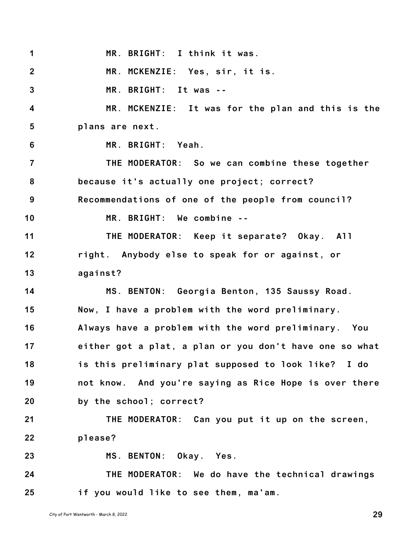**1 2 3 4 5 6 7 8 9 10 11 12 13 14 15 16 17 18 19 20 21 22 23 24 25 MR. BRIGHT: I think it was. MR. MCKENZIE: Yes, sir, it is. MR. BRIGHT: It was -- MR. MCKENZIE: It was for the plan and this is the plans are next. MR. BRIGHT: Yeah. THE MODERATOR: So we can combine these together because it's actually one project; correct? Recommendations of one of the people from council? MR. BRIGHT: We combine -- THE MODERATOR: Keep it separate? Okay. All right. Anybody else to speak for or against, or against? MS. BENTON: Georgia Benton, 135 Saussy Road. Now, I have a problem with the word preliminary. Always have a problem with the word preliminary. You either got a plat, a plan or you don't have one so what is this preliminary plat supposed to look like? I do not know. And you're saying as Rice Hope is over there by the school; correct? THE MODERATOR: Can you put it up on the screen, please? MS. BENTON: Okay. Yes. THE MODERATOR: We do have the technical drawings if you would like to see them, ma'am.**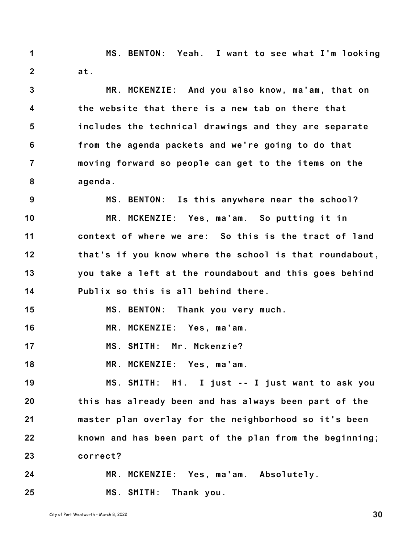**1 2 MS. BENTON: Yeah. I want to see what I'm looking at.**

**3 4 5 6 7 8 MR. MCKENZIE: And you also know, ma'am, that on the website that there is a new tab on there that includes the technical drawings and they are separate from the agenda packets and we're going to do that moving forward so people can get to the items on the agenda.**

**9 10 11 12 13 14 MS. BENTON: Is this anywhere near the school? MR. MCKENZIE: Yes, ma'am. So putting it in context of where we are: So this is the tract of land that's if you know where the school is that roundabout, you take a left at the roundabout and this goes behind Publix so this is all behind there.**

**15 MS. BENTON: Thank you very much.**

**16 MR. MCKENZIE: Yes, ma'am.**

**17 MS. SMITH: Mr. Mckenzie?**

**18 MR. MCKENZIE: Yes, ma'am.**

**19 20 21 22 23 MS. SMITH: Hi. I just -- I just want to ask you this has already been and has always been part of the master plan overlay for the neighborhood so it's been known and has been part of the plan from the beginning; correct?**

**24 25 MR. MCKENZIE: Yes, ma'am. Absolutely. MS. SMITH: Thank you.**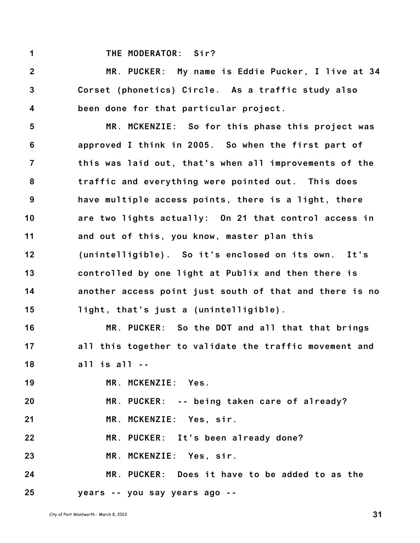**1**

## **THE MODERATOR: Sir?**

**2 3 4 MR. PUCKER: My name is Eddie Pucker, I live at 34 Corset (phonetics) Circle. As a traffic study also been done for that particular project.**

**5 6 7 8 9 10 11 12 13 14 15 MR. MCKENZIE: So for this phase this project was approved I think in 2005. So when the first part of this was laid out, that's when all improvements of the traffic and everything were pointed out. This does have multiple access points, there is a light, there are two lights actually: On 21 that control access in and out of this, you know, master plan this (unintelligible). So it's enclosed on its own. It's controlled by one light at Publix and then there is another access point just south of that and there is no light, that's just a (unintelligible).**

**16 17 18 MR. PUCKER: So the DOT and all that that brings all this together to validate the traffic movement and all is all --**

**19 MR. MCKENZIE: Yes.**

**20 MR. PUCKER: -- being taken care of already?**

**21 MR. MCKENZIE: Yes, sir.**

**22 MR. PUCKER: It's been already done?**

**23 MR. MCKENZIE: Yes, sir.**

**24 25 MR. PUCKER: Does it have to be added to as the years -- you say years ago --**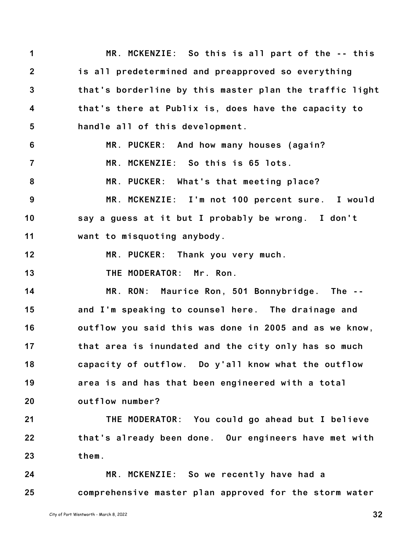**1 2 3 4 5 6 7 8 9 10 11 12 13 14 15 16 17 18 19 20 21 22 23 24 25 MR. MCKENZIE: So this is all part of the -- this is all predetermined and preapproved so everything that's borderline by this master plan the traffic light that's there at Publix is, does have the capacity to handle all of this development. MR. PUCKER: And how many houses (again? MR. MCKENZIE: So this is 65 lots. MR. PUCKER: What's that meeting place? MR. MCKENZIE: I'm not 100 percent sure. I would say a guess at it but I probably be wrong. I don't want to misquoting anybody. MR. PUCKER: Thank you very much. THE MODERATOR: Mr. Ron. MR. RON: Maurice Ron, 501 Bonnybridge. The - and I'm speaking to counsel here. The drainage and outflow you said this was done in 2005 and as we know, that area is inundated and the city only has so much capacity of outflow. Do y'all know what the outflow area is and has that been engineered with a total outflow number? THE MODERATOR: You could go ahead but I believe that's already been done. Our engineers have met with them. MR. MCKENZIE: So we recently have had a comprehensive master plan approved for the storm water**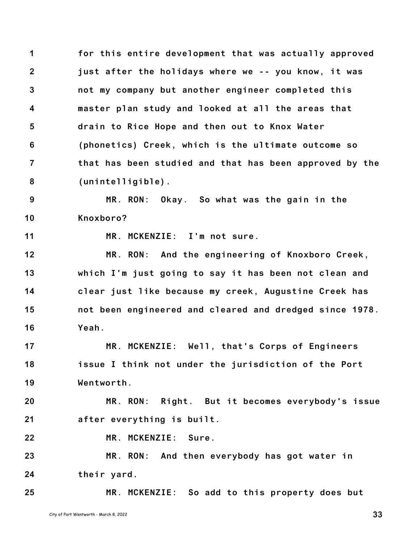**1 2 3 4 5 6 7 8 for this entire development that was actually approved just after the holidays where we -- you know, it was not my company but another engineer completed this master plan study and looked at all the areas that drain to Rice Hope and then out to Knox Water (phonetics) Creek, which is the ultimate outcome so that has been studied and that has been approved by the (unintelligible).**

**9 10 MR. RON: Okay. So what was the gain in the Knoxboro?**

**11**

**25**

**MR. MCKENZIE: I'm not sure.**

**12 13 14 15 16 MR. RON: And the engineering of Knoxboro Creek, which I'm just going to say it has been not clean and clear just like because my creek, Augustine Creek has not been engineered and cleared and dredged since 1978. Yeah.**

**17 18 19 MR. MCKENZIE: Well, that's Corps of Engineers issue I think not under the jurisdiction of the Port Wentworth.**

**20 21 MR. RON: Right. But it becomes everybody's issue after everything is built.**

**22 MR. MCKENZIE: Sure.**

**23 24 MR. RON: And then everybody has got water in their yard.**

**MR. MCKENZIE: So add to this property does but**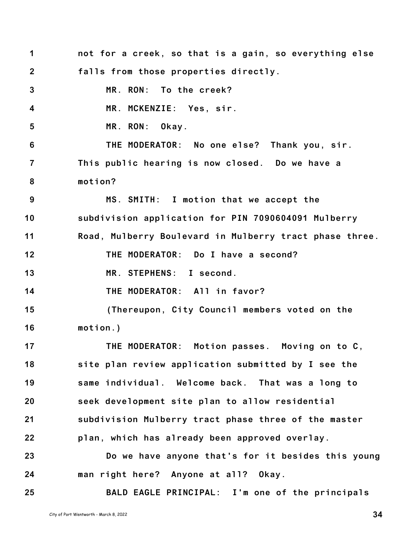**1 2 3 4 5 6 7 8 9 10 11 12 13 14 15 16 17 18 19 20 21 22 23 24 25 not for a creek, so that is a gain, so everything else falls from those properties directly. MR. RON: To the creek? MR. MCKENZIE: Yes, sir. MR. RON: Okay. THE MODERATOR: No one else? Thank you, sir. This public hearing is now closed. Do we have a motion? MS. SMITH: I motion that we accept the subdivision application for PIN 7090604091 Mulberry Road, Mulberry Boulevard in Mulberry tract phase three. THE MODERATOR: Do I have a second? MR. STEPHENS: I second. THE MODERATOR: All in favor? (Thereupon, City Council members voted on the motion.) THE MODERATOR: Motion passes. Moving on to C, site plan review application submitted by I see the same individual. Welcome back. That was a long to seek development site plan to allow residential subdivision Mulberry tract phase three of the master plan, which has already been approved overlay. Do we have anyone that's for it besides this young man right here? Anyone at all? Okay. BALD EAGLE PRINCIPAL: I'm one of the principals**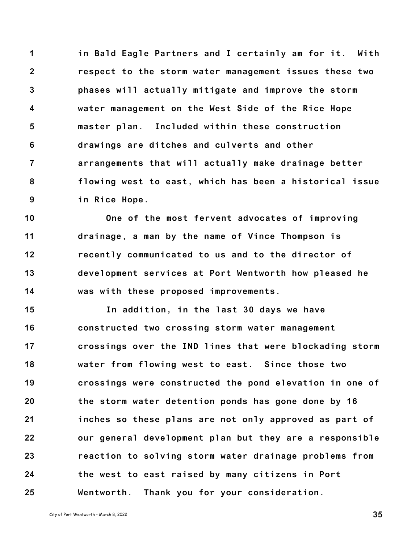**1 2 3 4 5 6 7 8 9 in Bald Eagle Partners and I certainly am for it. With respect to the storm water management issues these two phases will actually mitigate and improve the storm water management on the West Side of the Rice Hope master plan. Included within these construction drawings are ditches and culverts and other arrangements that will actually make drainage better flowing west to east, which has been a historical issue in Rice Hope.**

**10 11 12 13 14 One of the most fervent advocates of improving drainage, a man by the name of Vince Thompson is recently communicated to us and to the director of development services at Port Wentworth how pleased he was with these proposed improvements.**

**15 16 17 18 19 20 21 22 23 24 25 In addition, in the last 30 days we have constructed two crossing storm water management crossings over the IND lines that were blockading storm water from flowing west to east. Since those two crossings were constructed the pond elevation in one of the storm water detention ponds has gone done by 16 inches so these plans are not only approved as part of our general development plan but they are a responsible reaction to solving storm water drainage problems from the west to east raised by many citizens in Port Wentworth. Thank you for your consideration.**

City of Port Wentworth - March 8, <sup>2022</sup> **35**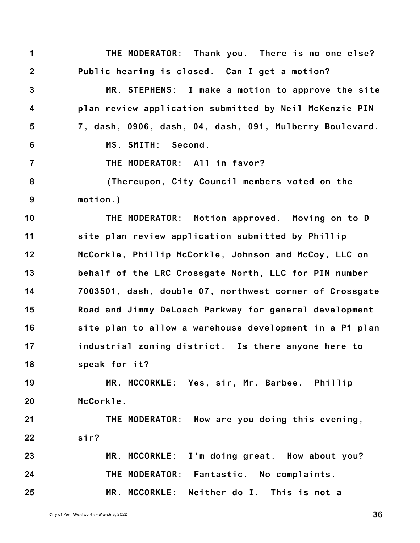**1 2 3 4 5 6 7 8 9 10 11 12 13 14 15 16 17 18 19 20 21 22 23 24 25 THE MODERATOR: Thank you. There is no one else? Public hearing is closed. Can I get a motion? MR. STEPHENS: I make a motion to approve the site plan review application submitted by Neil McKenzie PIN 7, dash, 0906, dash, 04, dash, 091, Mulberry Boulevard. MS. SMITH: Second. THE MODERATOR: All in favor? (Thereupon, City Council members voted on the motion.) THE MODERATOR: Motion approved. Moving on to D site plan review application submitted by Phillip McCorkle, Phillip McCorkle, Johnson and McCoy, LLC on behalf of the LRC Crossgate North, LLC for PIN number 7003501, dash, double 07, northwest corner of Crossgate Road and Jimmy DeLoach Parkway for general development site plan to allow a warehouse development in a P1 plan industrial zoning district. Is there anyone here to speak for it? MR. MCCORKLE: Yes, sir, Mr. Barbee. Phillip McCorkle. THE MODERATOR: How are you doing this evening, sir? MR. MCCORKLE: I'm doing great. How about you? THE MODERATOR: Fantastic. No complaints. MR. MCCORKLE: Neither do I. This is not a**

City of Port Wentworth - March 8, <sup>2022</sup> **36**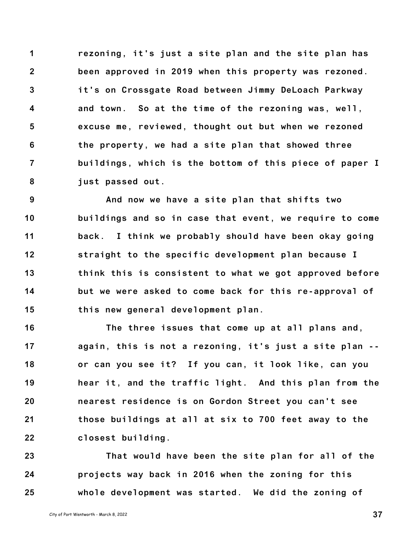**1 2 3 4 5 6 7 8 rezoning, it's just a site plan and the site plan has been approved in 2019 when this property was rezoned. it's on Crossgate Road between Jimmy DeLoach Parkway and town. So at the time of the rezoning was, well, excuse me, reviewed, thought out but when we rezoned the property, we had a site plan that showed three buildings, which is the bottom of this piece of paper I just passed out.**

**9 10 11 12 13 14 15 And now we have a site plan that shifts two buildings and so in case that event, we require to come back. I think we probably should have been okay going straight to the specific development plan because I think this is consistent to what we got approved before but we were asked to come back for this re-approval of this new general development plan.**

**16 17 18 19 20 21 22 The three issues that come up at all plans and, again, this is not a rezoning, it's just a site plan - or can you see it? If you can, it look like, can you hear it, and the traffic light. And this plan from the nearest residence is on Gordon Street you can't see those buildings at all at six to 700 feet away to the closest building.**

**23 24 25 That would have been the site plan for all of the projects way back in 2016 when the zoning for this whole development was started. We did the zoning of**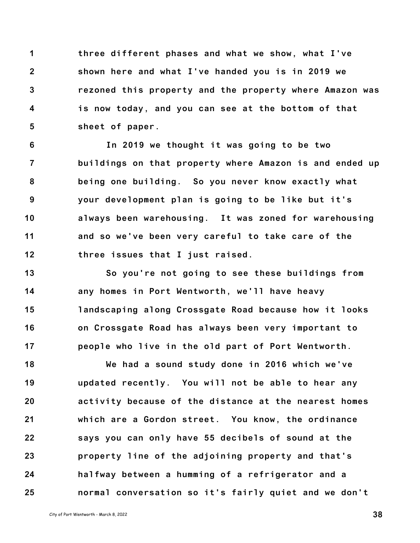**1 2 3 4 5 three different phases and what we show, what I've shown here and what I've handed you is in 2019 we rezoned this property and the property where Amazon was is now today, and you can see at the bottom of that sheet of paper.**

**6 7 8 9 10 11 12 In 2019 we thought it was going to be two buildings on that property where Amazon is and ended up being one building. So you never know exactly what your development plan is going to be like but it's always been warehousing. It was zoned for warehousing and so we've been very careful to take care of the three issues that I just raised.**

**13 14 15 16 17 So you're not going to see these buildings from any homes in Port Wentworth, we'll have heavy landscaping along Crossgate Road because how it looks on Crossgate Road has always been very important to people who live in the old part of Port Wentworth.**

**18 19 20 21 22 23 24 25 We had a sound study done in 2016 which we've updated recently. You will not be able to hear any activity because of the distance at the nearest homes which are a Gordon street. You know, the ordinance says you can only have 55 decibels of sound at the property line of the adjoining property and that's halfway between a humming of a refrigerator and a normal conversation so it's fairly quiet and we don't**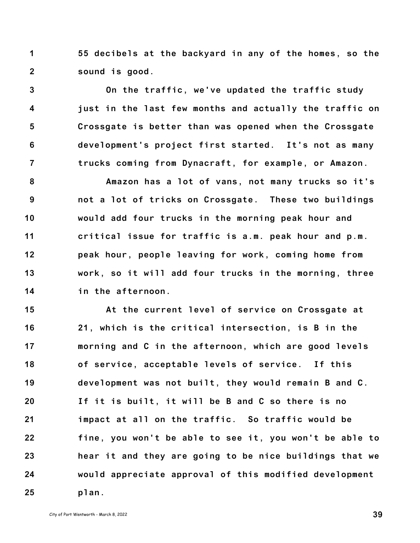**1 2 55 decibels at the backyard in any of the homes, so the sound is good.**

**3 4 5 6 7 On the traffic, we've updated the traffic study just in the last few months and actually the traffic on Crossgate is better than was opened when the Crossgate development's project first started. It's not as many trucks coming from Dynacraft, for example, or Amazon.**

**8 9 10 11 12 13 14 Amazon has a lot of vans, not many trucks so it's not a lot of tricks on Crossgate. These two buildings would add four trucks in the morning peak hour and critical issue for traffic is a.m. peak hour and p.m. peak hour, people leaving for work, coming home from work, so it will add four trucks in the morning, three in the afternoon.**

**15 16 17 18 19 20 21 22 23 24 25 At the current level of service on Crossgate at 21, which is the critical intersection, is B in the morning and C in the afternoon, which are good levels of service, acceptable levels of service. If this development was not built, they would remain B and C. If it is built, it will be B and C so there is no impact at all on the traffic. So traffic would be fine, you won't be able to see it, you won't be able to hear it and they are going to be nice buildings that we would appreciate approval of this modified development plan.**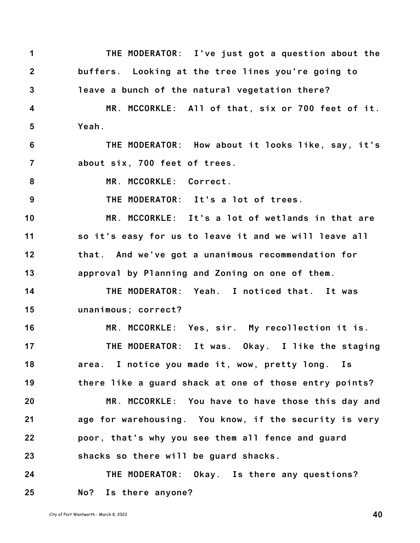**1 2 3 THE MODERATOR: I've just got a question about the buffers. Looking at the tree lines you're going to leave a bunch of the natural vegetation there?**

**4 5 MR. MCCORKLE: All of that, six or 700 feet of it. Yeah.**

**6 7 THE MODERATOR: How about it looks like, say, it's about six, 700 feet of trees.**

**8 MR. MCCORKLE: Correct.**

**9 THE MODERATOR: It's a lot of trees.**

**10 11 12 13 MR. MCCORKLE: It's a lot of wetlands in that are so it's easy for us to leave it and we will leave all that. And we've got a unanimous recommendation for approval by Planning and Zoning on one of them.**

**14 15 THE MODERATOR: Yeah. I noticed that. It was unanimous; correct?**

**16 17 18 19 MR. MCCORKLE: Yes, sir. My recollection it is. THE MODERATOR: It was. Okay. I like the staging area. I notice you made it, wow, pretty long. Is there like a guard shack at one of those entry points?**

**20 21 22 23 MR. MCCORKLE: You have to have those this day and age for warehousing. You know, if the security is very poor, that's why you see them all fence and guard shacks so there will be guard shacks.**

**24 25 THE MODERATOR: Okay. Is there any questions? No? Is there anyone?**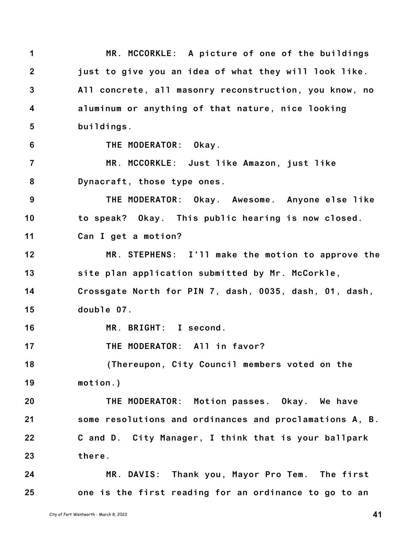**1 2 3 4 5 6 7 8 9 10 11 12 13 14 15 16 17 18 19 20 21 22 23 24 25 MR. MCCORKLE: A picture of one of the buildings just to give you an idea of what they will look like. All concrete, all masonry reconstruction, you know, no aluminum or anything of that nature, nice looking buildings. THE MODERATOR: Okay. MR. MCCORKLE: Just like Amazon, just like Dynacraft, those type ones. THE MODERATOR: Okay. Awesome. Anyone else like to speak? Okay. This public hearing is now closed. Can I get a motion? MR. STEPHENS: I'll make the motion to approve the site plan application submitted by Mr. McCorkle, Crossgate North for PIN 7, dash, 0035, dash, 01, dash, double 07. MR. BRIGHT: I second. THE MODERATOR: All in favor? (Thereupon, City Council members voted on the motion.) THE MODERATOR: Motion passes. Okay. We have some resolutions and ordinances and proclamations A, B. C and D. City Manager, I think that is your ballpark there. MR. DAVIS: Thank you, Mayor Pro Tem. The first one is the first reading for an ordinance to go to an**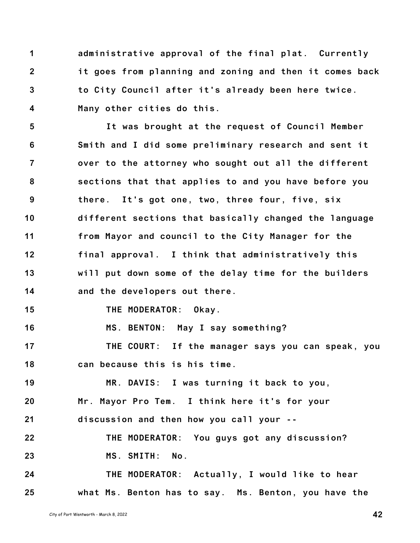**1 2 3 4 administrative approval of the final plat. Currently it goes from planning and zoning and then it comes back to City Council after it's already been here twice. Many other cities do this.**

**5 6 7 8 9 10 11 12 13 14 15 16 17 18 19 It was brought at the request of Council Member Smith and I did some preliminary research and sent it over to the attorney who sought out all the different sections that that applies to and you have before you there. It's got one, two, three four, five, six different sections that basically changed the language from Mayor and council to the City Manager for the final approval. I think that administratively this will put down some of the delay time for the builders and the developers out there. THE MODERATOR: Okay. MS. BENTON: May I say something? THE COURT: If the manager says you can speak, you can because this is his time. MR. DAVIS: I was turning it back to you,**

**20 21 Mr. Mayor Pro Tem. I think here it's for your discussion and then how you call your --**

**22 23 THE MODERATOR: You guys got any discussion? MS. SMITH: No.**

**24 25 THE MODERATOR: Actually, I would like to hear what Ms. Benton has to say. Ms. Benton, you have the**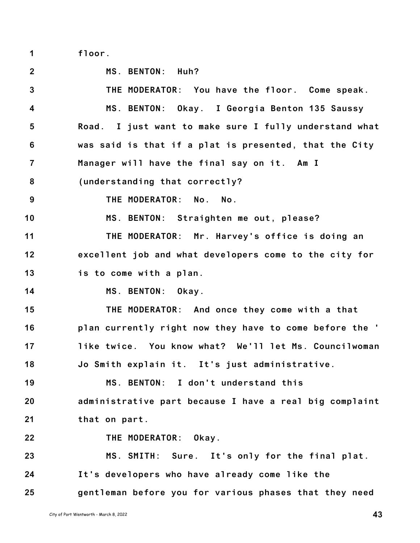**1 floor.**

**2 3 4 5 6 7 8 9 10 11 12 13 14 15 16 17 18 19 20 21 22 23 24 25 MS. BENTON: Huh? THE MODERATOR: You have the floor. Come speak. MS. BENTON: Okay. I Georgia Benton 135 Saussy Road. I just want to make sure I fully understand what was said is that if a plat is presented, that the City Manager will have the final say on it. Am I (understanding that correctly? THE MODERATOR: No. No. MS. BENTON: Straighten me out, please? THE MODERATOR: Mr. Harvey's office is doing an excellent job and what developers come to the city for is to come with a plan. MS. BENTON: Okay. THE MODERATOR: And once they come with a that plan currently right now they have to come before the ' like twice. You know what? We'll let Ms. Councilwoman Jo Smith explain it. It's just administrative. MS. BENTON: I don't understand this administrative part because I have a real big complaint that on part. THE MODERATOR: Okay. MS. SMITH: Sure. It's only for the final plat. It's developers who have already come like the gentleman before you for various phases that they need**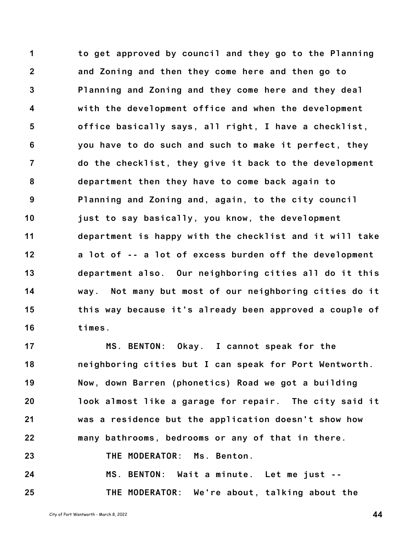**1 2 3 4 5 6 7 8 9 10 11 12 13 14 15 16 to get approved by council and they go to the Planning and Zoning and then they come here and then go to Planning and Zoning and they come here and they deal with the development office and when the development office basically says, all right, I have a checklist, you have to do such and such to make it perfect, they do the checklist, they give it back to the development department then they have to come back again to Planning and Zoning and, again, to the city council just to say basically, you know, the development department is happy with the checklist and it will take a lot of -- a lot of excess burden off the development department also. Our neighboring cities all do it this way. Not many but most of our neighboring cities do it this way because it's already been approved a couple of times.**

**17 18 19 20 21 22 23 24 MS. BENTON: Okay. I cannot speak for the neighboring cities but I can speak for Port Wentworth. Now, down Barren (phonetics) Road we got a building look almost like a garage for repair. The city said it was a residence but the application doesn't show how many bathrooms, bedrooms or any of that in there. THE MODERATOR: Ms. Benton. MS. BENTON: Wait a minute. Let me just --**

**THE MODERATOR: We're about, talking about the**

City of Port Wentworth - March 8, <sup>2022</sup> **44**

**25**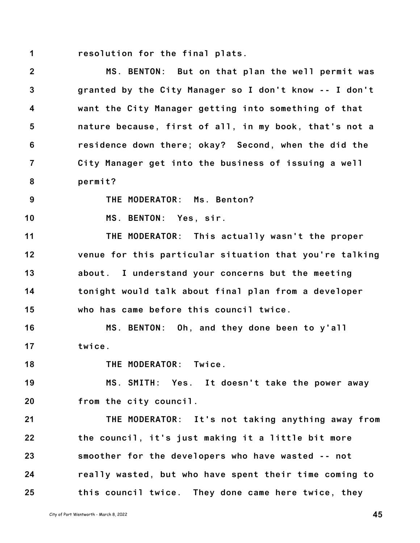**1 resolution for the final plats.**

**2 3 4 5 6 7 8 MS. BENTON: But on that plan the well permit was granted by the City Manager so I don't know -- I don't want the City Manager getting into something of that nature because, first of all, in my book, that's not a residence down there; okay? Second, when the did the City Manager get into the business of issuing a well permit?**

**9**

**THE MODERATOR: Ms. Benton?**

**10 MS. BENTON: Yes, sir.**

**11 12 13 14 15 THE MODERATOR: This actually wasn't the proper venue for this particular situation that you're talking about. I understand your concerns but the meeting tonight would talk about final plan from a developer who has came before this council twice.**

**16 17 MS. BENTON: Oh, and they done been to y'all twice.**

**18 THE MODERATOR: Twice.**

**19 20 MS. SMITH: Yes. It doesn't take the power away from the city council.**

**21 22 23 24 25 THE MODERATOR: It's not taking anything away from the council, it's just making it a little bit more smoother for the developers who have wasted -- not really wasted, but who have spent their time coming to this council twice. They done came here twice, they**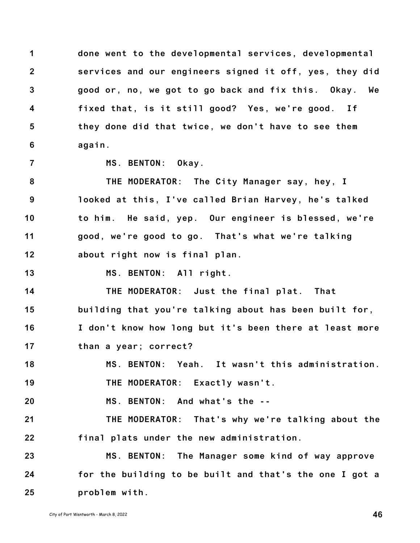**1 2 3 4 5 6 done went to the developmental services, developmental services and our engineers signed it off, yes, they did good or, no, we got to go back and fix this. Okay. We fixed that, is it still good? Yes, we're good. If they done did that twice, we don't have to see them again.**

**7**

**MS. BENTON: Okay.**

**8 9 10 11 12 THE MODERATOR: The City Manager say, hey, I looked at this, I've called Brian Harvey, he's talked to him. He said, yep. Our engineer is blessed, we're good, we're good to go. That's what we're talking about right now is final plan.**

**13 MS. BENTON: All right.**

**14 15 16 17 THE MODERATOR: Just the final plat. That building that you're talking about has been built for, I don't know how long but it's been there at least more than a year; correct?**

**18 MS. BENTON: Yeah. It wasn't this administration.**

**19 THE MODERATOR: Exactly wasn't.**

**20 MS. BENTON: And what's the --**

**21 22 THE MODERATOR: That's why we're talking about the final plats under the new administration.**

**23 24 25 MS. BENTON: The Manager some kind of way approve for the building to be built and that's the one I got a problem with.**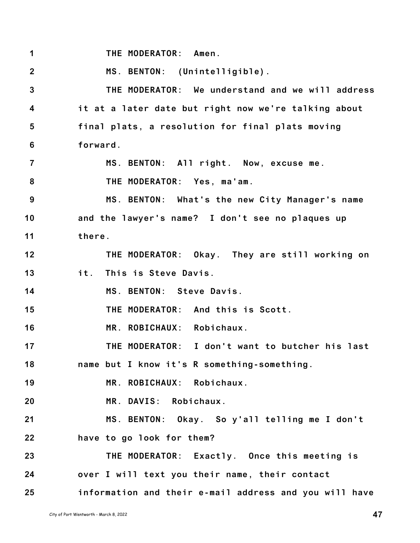**1 THE MODERATOR: Amen.**

**2 MS. BENTON: (Unintelligible).**

**3 4 5 6 THE MODERATOR: We understand and we will address it at a later date but right now we're talking about final plats, a resolution for final plats moving forward.**

**7 8 MS. BENTON: All right. Now, excuse me. THE MODERATOR: Yes, ma'am.**

**9 10 11 MS. BENTON: What's the new City Manager's name and the lawyer's name? I don't see no plaques up there.**

**12 13 THE MODERATOR: Okay. They are still working on it. This is Steve Davis.**

**14 MS. BENTON: Steve Davis.**

**15 THE MODERATOR: And this is Scott.**

**16 MR. ROBICHAUX: Robichaux.**

**17 THE MODERATOR: I don't want to butcher his last**

**18 name but I know it's R something-something.**

**19 MR. ROBICHAUX: Robichaux.**

**20 MR. DAVIS: Robichaux.**

**21 MS. BENTON: Okay. So y'all telling me I don't**

**22 have to go look for them?**

**23 24 25 THE MODERATOR: Exactly. Once this meeting is over I will text you their name, their contact information and their e-mail address and you will have**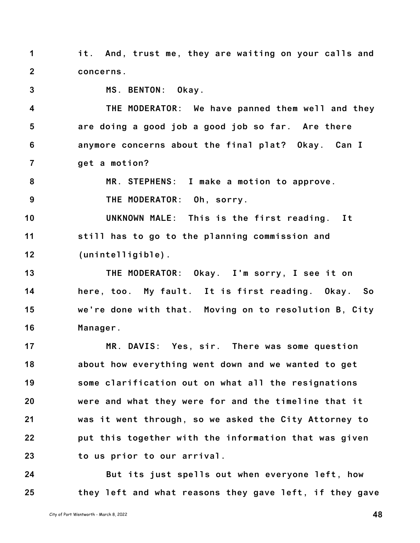**1 2 it. And, trust me, they are waiting on your calls and concerns.**

**3**

**MS. BENTON: Okay.**

**4 5 6 7 THE MODERATOR: We have panned them well and they are doing a good job a good job so far. Are there anymore concerns about the final plat? Okay. Can I get a motion?**

**8 9 MR. STEPHENS: I make a motion to approve. THE MODERATOR: Oh, sorry.**

**10 11 12 UNKNOWN MALE: This is the first reading. It still has to go to the planning commission and (unintelligible).**

**13 14 15 16 THE MODERATOR: Okay. I'm sorry, I see it on here, too. My fault. It is first reading. Okay. So we're done with that. Moving on to resolution B, City Manager.**

**17 18 19 20 21 22 23 MR. DAVIS: Yes, sir. There was some question about how everything went down and we wanted to get some clarification out on what all the resignations were and what they were for and the timeline that it was it went through, so we asked the City Attorney to put this together with the information that was given to us prior to our arrival.**

**24 25 But its just spells out when everyone left, how they left and what reasons they gave left, if they gave**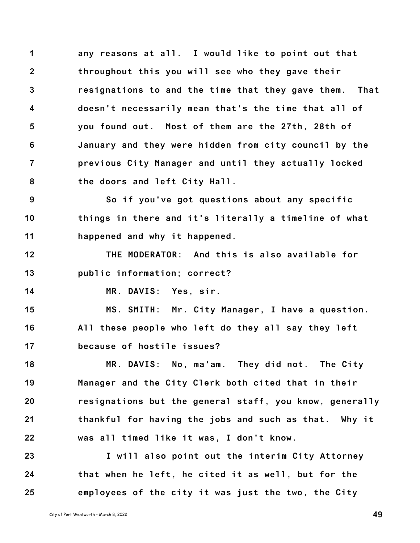**1 2 3 4 5 6 7 8 any reasons at all. I would like to point out that throughout this you will see who they gave their resignations to and the time that they gave them. That doesn't necessarily mean that's the time that all of you found out. Most of them are the 27th, 28th of January and they were hidden from city council by the previous City Manager and until they actually locked the doors and left City Hall.**

**9 10 11 So if you've got questions about any specific things in there and it's literally a timeline of what happened and why it happened.**

**12 13 THE MODERATOR: And this is also available for public information; correct?**

**14**

**MR. DAVIS: Yes, sir.**

**15 16 17 MS. SMITH: Mr. City Manager, I have a question. All these people who left do they all say they left because of hostile issues?**

**18 19 20 21 22 MR. DAVIS: No, ma'am. They did not. The City Manager and the City Clerk both cited that in their resignations but the general staff, you know, generally thankful for having the jobs and such as that. Why it was all timed like it was, I don't know.**

**23 24 25 I will also point out the interim City Attorney that when he left, he cited it as well, but for the employees of the city it was just the two, the City**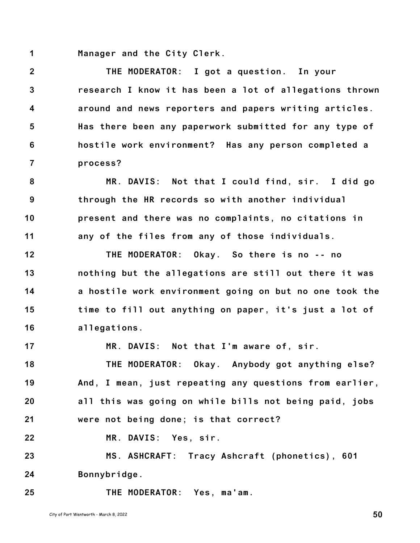**1 Manager and the City Clerk.**

**2 3 4 5 6 7 THE MODERATOR: I got a question. In your research I know it has been a lot of allegations thrown around and news reporters and papers writing articles. Has there been any paperwork submitted for any type of hostile work environment? Has any person completed a process?**

**8 9 10 11 MR. DAVIS: Not that I could find, sir. I did go through the HR records so with another individual present and there was no complaints, no citations in any of the files from any of those individuals.**

**12 13 14 15 16 THE MODERATOR: Okay. So there is no -- no nothing but the allegations are still out there it was a hostile work environment going on but no one took the time to fill out anything on paper, it's just a lot of allegations.**

**17 MR. DAVIS: Not that I'm aware of, sir.**

**18 19 20 21 THE MODERATOR: Okay. Anybody got anything else? And, I mean, just repeating any questions from earlier, all this was going on while bills not being paid, jobs were not being done; is that correct?**

**22 MR. DAVIS: Yes, sir.**

**23 24 MS. ASHCRAFT: Tracy Ashcraft (phonetics), 601 Bonnybridge.**

**THE MODERATOR: Yes, ma'am.**

**25**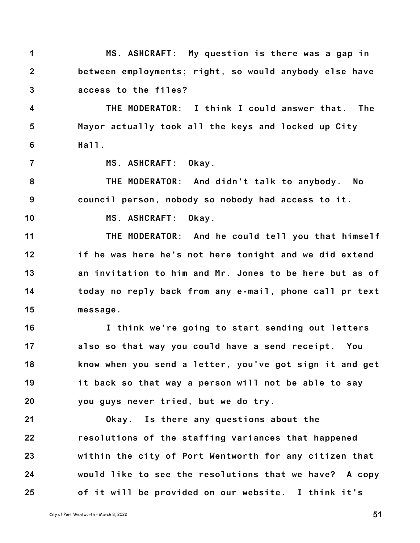**1 2 3 MS. ASHCRAFT: My question is there was a gap in between employments; right, so would anybody else have access to the files?**

**4 5 6 THE MODERATOR: I think I could answer that. The Mayor actually took all the keys and locked up City Hall.**

**7**

**MS. ASHCRAFT: Okay.**

**8 9 THE MODERATOR: And didn't talk to anybody. No council person, nobody so nobody had access to it.**

**10**

**MS. ASHCRAFT: Okay.**

**11 12 13 14 15 THE MODERATOR: And he could tell you that himself if he was here he's not here tonight and we did extend an invitation to him and Mr. Jones to be here but as of today no reply back from any e-mail, phone call pr text message.**

**16 17 18 19 20 I think we're going to start sending out letters also so that way you could have a send receipt. You know when you send a letter, you've got sign it and get it back so that way a person will not be able to say you guys never tried, but we do try.**

**21 22 23 24 25 Okay. Is there any questions about the resolutions of the staffing variances that happened within the city of Port Wentworth for any citizen that would like to see the resolutions that we have? A copy of it will be provided on our website. I think it's**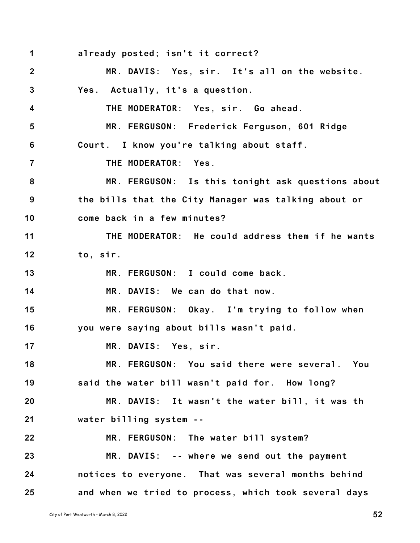**1 2 3 4 5 6 7 8 9 10 11 12 13 14 15 16 17 18 19 20 21 22 23 24 25 already posted; isn't it correct? MR. DAVIS: Yes, sir. It's all on the website. Yes. Actually, it's a question. THE MODERATOR: Yes, sir. Go ahead. MR. FERGUSON: Frederick Ferguson, 601 Ridge Court. I know you're talking about staff. THE MODERATOR: Yes. MR. FERGUSON: Is this tonight ask questions about the bills that the City Manager was talking about or come back in a few minutes? THE MODERATOR: He could address them if he wants to, sir. MR. FERGUSON: I could come back. MR. DAVIS: We can do that now. MR. FERGUSON: Okay. I'm trying to follow when you were saying about bills wasn't paid. MR. DAVIS: Yes, sir. MR. FERGUSON: You said there were several. You said the water bill wasn't paid for. How long? MR. DAVIS: It wasn't the water bill, it was th water billing system -- MR. FERGUSON: The water bill system? MR. DAVIS: -- where we send out the payment notices to everyone. That was several months behind and when we tried to process, which took several days**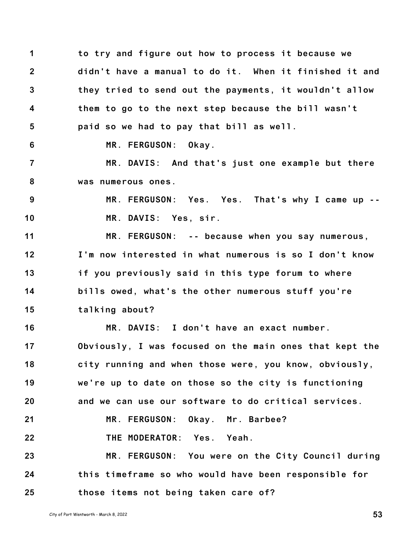**1 2 3 4 5 6 7 8 9 10 11 12 13 14 15 16 17 18 19 20 21 22 23 24 25 to try and figure out how to process it because we didn't have a manual to do it. When it finished it and they tried to send out the payments, it wouldn't allow them to go to the next step because the bill wasn't paid so we had to pay that bill as well. MR. FERGUSON: Okay. MR. DAVIS: And that's just one example but there was numerous ones. MR. FERGUSON: Yes. Yes. That's why I came up -- MR. DAVIS: Yes, sir. MR. FERGUSON: -- because when you say numerous, I'm now interested in what numerous is so I don't know if you previously said in this type forum to where bills owed, what's the other numerous stuff you're talking about? MR. DAVIS: I don't have an exact number. Obviously, I was focused on the main ones that kept the city running and when those were, you know, obviously, we're up to date on those so the city is functioning and we can use our software to do critical services. MR. FERGUSON: Okay. Mr. Barbee? THE MODERATOR: Yes. Yeah. MR. FERGUSON: You were on the City Council during this timeframe so who would have been responsible for those items not being taken care of?**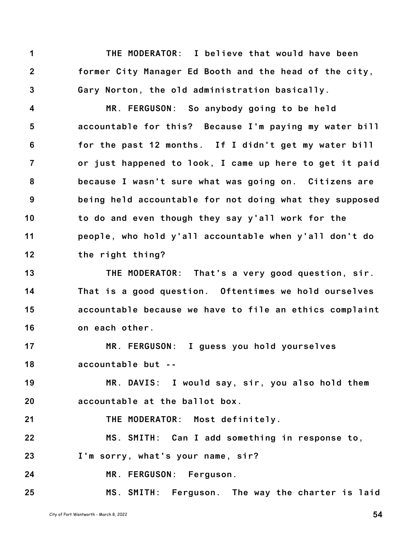**1 2 3 THE MODERATOR: I believe that would have been former City Manager Ed Booth and the head of the city, Gary Norton, the old administration basically.**

**4 5 6 7 8 9 10 11 12 MR. FERGUSON: So anybody going to be held accountable for this? Because I'm paying my water bill for the past 12 months. If I didn't get my water bill or just happened to look, I came up here to get it paid because I wasn't sure what was going on. Citizens are being held accountable for not doing what they supposed to do and even though they say y'all work for the people, who hold y'all accountable when y'all don't do the right thing?**

**13 14 15 16 THE MODERATOR: That's a very good question, sir. That is a good question. Oftentimes we hold ourselves accountable because we have to file an ethics complaint on each other.**

**17 18 MR. FERGUSON: I guess you hold yourselves accountable but --**

**19 20 MR. DAVIS: I would say, sir, you also hold them accountable at the ballot box.**

**21 THE MODERATOR: Most definitely.**

**22 23 MS. SMITH: Can I add something in response to, I'm sorry, what's your name, sir?**

**24 MR. FERGUSON: Ferguson.**

**25 MS. SMITH: Ferguson. The way the charter is laid**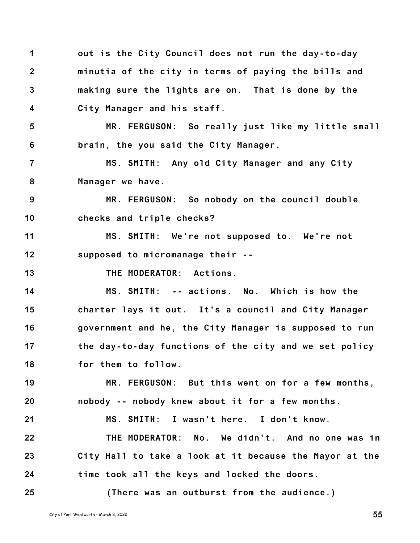| 1              | out is the City Council does not run the day-to-day     |
|----------------|---------------------------------------------------------|
| $\mathbf{2}$   | minutia of the city in terms of paying the bills and    |
| $\mathbf{3}$   | making sure the lights are on. That is done by the      |
| 4              | City Manager and his staff.                             |
| $5\phantom{1}$ | MR. FERGUSON: So really just like my little small       |
| 6              | brain, the you said the City Manager.                   |
| $\overline{7}$ | MS. SMITH: Any old City Manager and any City            |
| 8              | Manager we have.                                        |
| 9              | MR. FERGUSON: So nobody on the council double           |
| 10             | checks and triple checks?                               |
| 11             | MS. SMITH: We're not supposed to. We're not             |
| 12             | supposed to micromanage their --                        |
| 13             | THE MODERATOR: Actions.                                 |
| 14             | MS. SMITH: -- actions. No. Which is how the             |
| 15             | charter lays it out. It's a council and City Manager    |
| 16             | government and he, the City Manager is supposed to run  |
| 17             | the day-to-day functions of the city and we set policy  |
| 18             | for them to follow.                                     |
| 19             | MR. FERGUSON: But this went on for a few months,        |
| 20             | nobody -- nobody knew about it for a few months.        |
| 21             | MS. SMITH: I wasn't here. I don't know.                 |
| 22             | THE MODERATOR: No. We didn't. And no one was in         |
| 23             | City Hall to take a look at it because the Mayor at the |
| 24             | time took all the keys and locked the doors.            |
| 25             | (There was an outburst from the audience.)              |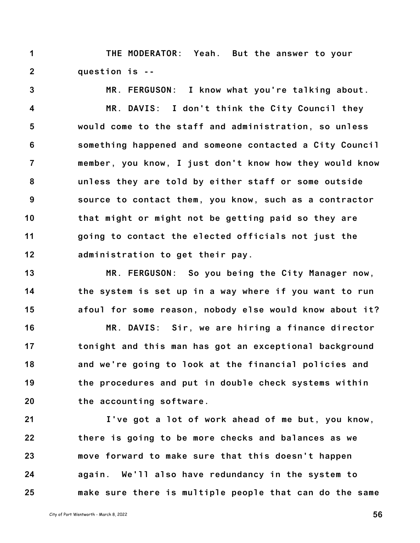**1 2 THE MODERATOR: Yeah. But the answer to your question is --**

**3 4 5 6 7 8 9 10 11 12 MR. FERGUSON: I know what you're talking about. MR. DAVIS: I don't think the City Council they would come to the staff and administration, so unless something happened and someone contacted a City Council member, you know, I just don't know how they would know unless they are told by either staff or some outside source to contact them, you know, such as a contractor that might or might not be getting paid so they are going to contact the elected officials not just the administration to get their pay.**

**13 14 15 MR. FERGUSON: So you being the City Manager now, the system is set up in a way where if you want to run afoul for some reason, nobody else would know about it?**

**16 17 18 19 20 MR. DAVIS: Sir, we are hiring a finance director tonight and this man has got an exceptional background and we're going to look at the financial policies and the procedures and put in double check systems within the accounting software.**

**21 22 23 24 25 I've got a lot of work ahead of me but, you know, there is going to be more checks and balances as we move forward to make sure that this doesn't happen again. We'll also have redundancy in the system to make sure there is multiple people that can do the same**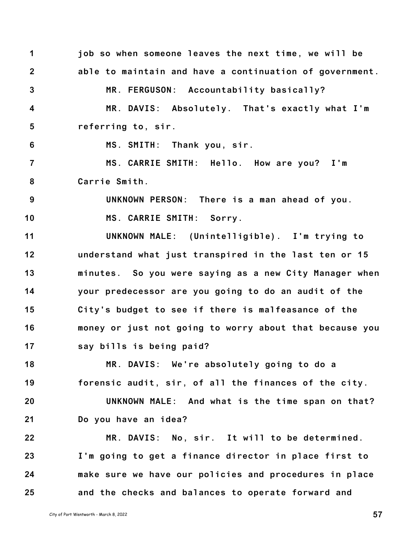**1 2 3 4 5 6 7 8 9 10 11 12 13 14 15 16 17 18 19 20 21 22 23 24 25 job so when someone leaves the next time, we will be able to maintain and have a continuation of government. MR. FERGUSON: Accountability basically? MR. DAVIS: Absolutely. That's exactly what I'm referring to, sir. MS. SMITH: Thank you, sir. MS. CARRIE SMITH: Hello. How are you? I'm Carrie Smith. UNKNOWN PERSON: There is a man ahead of you. MS. CARRIE SMITH: Sorry. UNKNOWN MALE: (Unintelligible). I'm trying to understand what just transpired in the last ten or 15 minutes. So you were saying as a new City Manager when your predecessor are you going to do an audit of the City's budget to see if there is malfeasance of the money or just not going to worry about that because you say bills is being paid? MR. DAVIS: We're absolutely going to do a forensic audit, sir, of all the finances of the city. UNKNOWN MALE: And what is the time span on that? Do you have an idea? MR. DAVIS: No, sir. It will to be determined. I'm going to get a finance director in place first to make sure we have our policies and procedures in place and the checks and balances to operate forward and**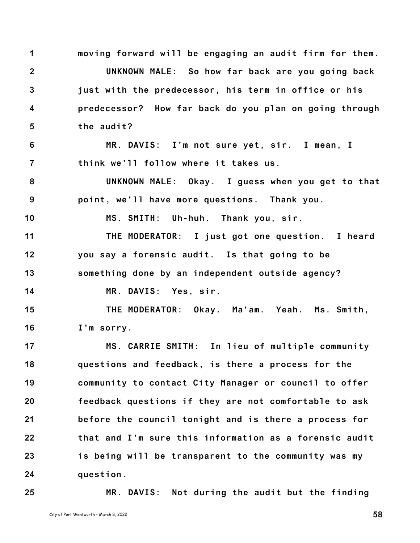**1 2 3 4 5 6 7 8 9 10 11 12 13 14 15 16 17 18 19 20 21 22 23 24 moving forward will be engaging an audit firm for them. UNKNOWN MALE: So how far back are you going back just with the predecessor, his term in office or his predecessor? How far back do you plan on going through the audit? MR. DAVIS: I'm not sure yet, sir. I mean, I think we'll follow where it takes us. UNKNOWN MALE: Okay. I guess when you get to that point, we'll have more questions. Thank you. MS. SMITH: Uh-huh. Thank you, sir. THE MODERATOR: I just got one question. I heard you say a forensic audit. Is that going to be something done by an independent outside agency? MR. DAVIS: Yes, sir. THE MODERATOR: Okay. Ma'am. Yeah. Ms. Smith, I'm sorry. MS. CARRIE SMITH: In lieu of multiple community questions and feedback, is there a process for the community to contact City Manager or council to offer feedback questions if they are not comfortable to ask before the council tonight and is there a process for that and I'm sure this information as a forensic audit is being will be transparent to the community was my question.**

**25**

**MR. DAVIS: Not during the audit but the finding**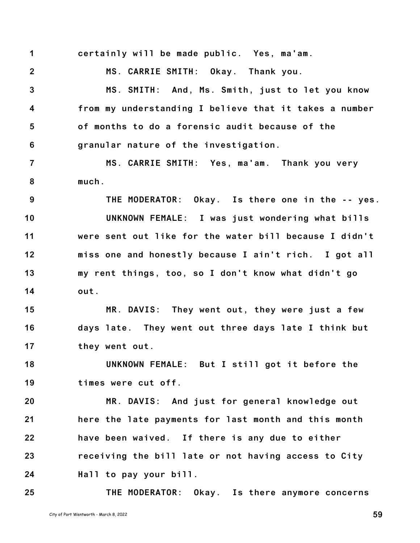**1 certainly will be made public. Yes, ma'am.**

**2**

**MS. CARRIE SMITH: Okay. Thank you.**

**3 4 5 6 MS. SMITH: And, Ms. Smith, just to let you know from my understanding I believe that it takes a number of months to do a forensic audit because of the granular nature of the investigation.**

**7 8 MS. CARRIE SMITH: Yes, ma'am. Thank you very much.**

**9 10 11 12 13 14 THE MODERATOR: Okay. Is there one in the -- yes. UNKNOWN FEMALE: I was just wondering what bills were sent out like for the water bill because I didn't miss one and honestly because I ain't rich. I got all my rent things, too, so I don't know what didn't go out.**

**15 16 17 MR. DAVIS: They went out, they were just a few days late. They went out three days late I think but they went out.**

**18 19 UNKNOWN FEMALE: But I still got it before the times were cut off.**

**20 21 22 23 24 MR. DAVIS: And just for general knowledge out here the late payments for last month and this month have been waived. If there is any due to either receiving the bill late or not having access to City Hall to pay your bill.**

**25 THE MODERATOR: Okay. Is there anymore concerns**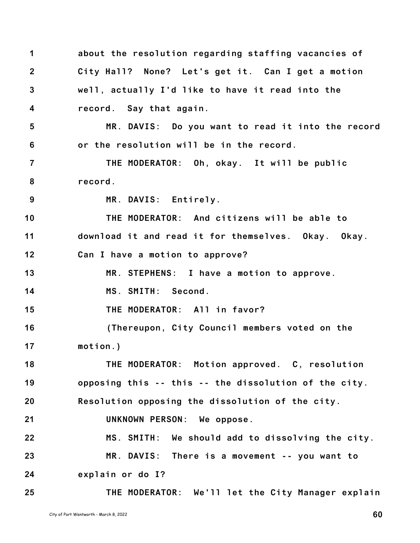**1 2 3 4 5 6 7 8 9 10 11 12 13 14 15 16 17 18 19 20 21 22 23 24 25 about the resolution regarding staffing vacancies of City Hall? None? Let's get it. Can I get a motion well, actually I'd like to have it read into the record. Say that again. MR. DAVIS: Do you want to read it into the record or the resolution will be in the record. THE MODERATOR: Oh, okay. It will be public record. MR. DAVIS: Entirely. THE MODERATOR: And citizens will be able to download it and read it for themselves. Okay. Okay. Can I have a motion to approve? MR. STEPHENS: I have a motion to approve. MS. SMITH: Second. THE MODERATOR: All in favor? (Thereupon, City Council members voted on the motion.) THE MODERATOR: Motion approved. C, resolution opposing this -- this -- the dissolution of the city. Resolution opposing the dissolution of the city. UNKNOWN PERSON: We oppose. MS. SMITH: We should add to dissolving the city. MR. DAVIS: There is a movement -- you want to explain or do I? THE MODERATOR: We'll let the City Manager explain**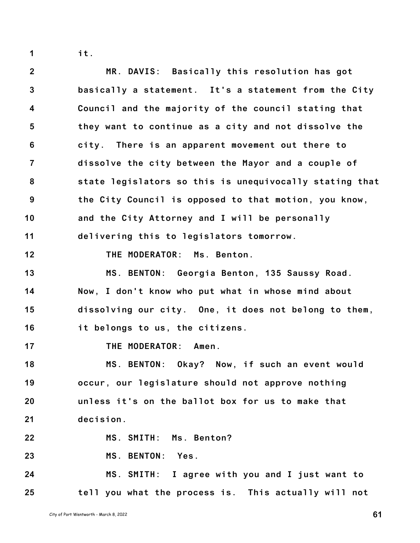**1**

**it.**

**2 3 4 5 6 7 8 9 10 11 12 13 14 15 16 17 18 19 20 21 22 23 24 MR. DAVIS: Basically this resolution has got basically a statement. It's a statement from the City Council and the majority of the council stating that they want to continue as a city and not dissolve the city. There is an apparent movement out there to dissolve the city between the Mayor and a couple of state legislators so this is unequivocally stating that the City Council is opposed to that motion, you know, and the City Attorney and I will be personally delivering this to legislators tomorrow. THE MODERATOR: Ms. Benton. MS. BENTON: Georgia Benton, 135 Saussy Road. Now, I don't know who put what in whose mind about dissolving our city. One, it does not belong to them, it belongs to us, the citizens. THE MODERATOR: Amen. MS. BENTON: Okay? Now, if such an event would occur, our legislature should not approve nothing unless it's on the ballot box for us to make that decision. MS. SMITH: Ms. Benton? MS. BENTON: Yes. MS. SMITH: I agree with you and I just want to**

**tell you what the process is. This actually will not**

**25**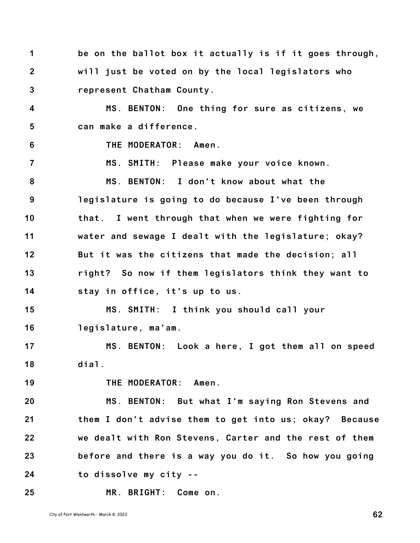**1 2 3 4 5 6 7 8 9 10 11 12 13 14 15 16 17 18 19 20 21 22 23 24 25 be on the ballot box it actually is if it goes through, will just be voted on by the local legislators who represent Chatham County. MS. BENTON: One thing for sure as citizens, we can make a difference. THE MODERATOR: Amen. MS. SMITH: Please make your voice known. MS. BENTON: I don't know about what the legislature is going to do because I've been through that. I went through that when we were fighting for water and sewage I dealt with the legislature; okay? But it was the citizens that made the decision; all right? So now if them legislators think they want to stay in office, it's up to us. MS. SMITH: I think you should call your legislature, ma'am. MS. BENTON: Look a here, I got them all on speed dial. THE MODERATOR: Amen. MS. BENTON: But what I'm saying Ron Stevens and them I don't advise them to get into us; okay? Because we dealt with Ron Stevens, Carter and the rest of them before and there is a way you do it. So how you going to dissolve my city -- MR. BRIGHT: Come on.**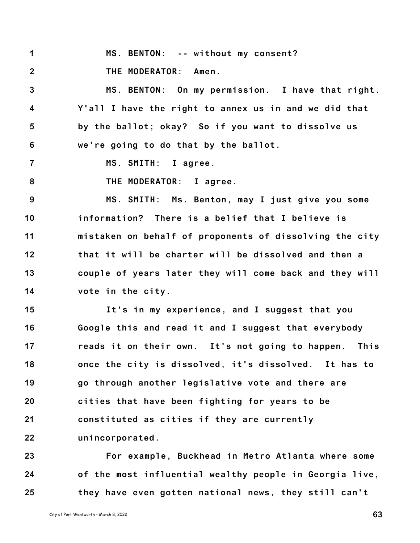**1 MS. BENTON: -- without my consent?**

**2 THE MODERATOR: Amen.**

**3 4 5 6 MS. BENTON: On my permission. I have that right. Y'all I have the right to annex us in and we did that by the ballot; okay? So if you want to dissolve us we're going to do that by the ballot.**

- **7 MS. SMITH: I agree.**
- **8 THE MODERATOR: I agree.**

**9 10 11 12 13 14 MS. SMITH: Ms. Benton, may I just give you some information? There is a belief that I believe is mistaken on behalf of proponents of dissolving the city that it will be charter will be dissolved and then a couple of years later they will come back and they will vote in the city.**

**15 16 17 18 19 20 21 22 It's in my experience, and I suggest that you Google this and read it and I suggest that everybody reads it on their own. It's not going to happen. This once the city is dissolved, it's dissolved. It has to go through another legislative vote and there are cities that have been fighting for years to be constituted as cities if they are currently unincorporated.**

**23 24 25 For example, Buckhead in Metro Atlanta where some of the most influential wealthy people in Georgia live, they have even gotten national news, they still can't**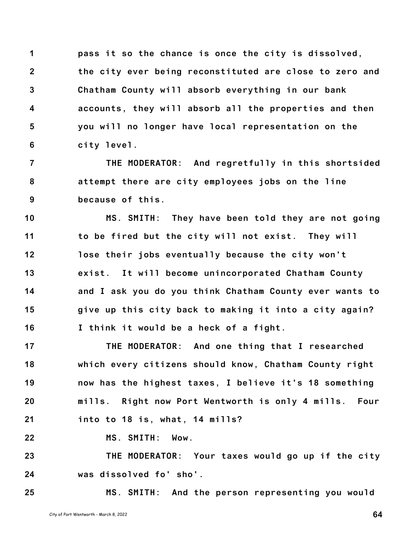**1 2 3 4 5 6 pass it so the chance is once the city is dissolved, the city ever being reconstituted are close to zero and Chatham County will absorb everything in our bank accounts, they will absorb all the properties and then you will no longer have local representation on the city level.**

**7 8 9 THE MODERATOR: And regretfully in this shortsided attempt there are city employees jobs on the line because of this.**

**10 11 12 13 14 15 16 MS. SMITH: They have been told they are not going to be fired but the city will not exist. They will lose their jobs eventually because the city won't exist. It will become unincorporated Chatham County and I ask you do you think Chatham County ever wants to give up this city back to making it into a city again? I think it would be a heck of a fight.**

**17 18 19 20 21 THE MODERATOR: And one thing that I researched which every citizens should know, Chatham County right now has the highest taxes, I believe it's 18 something mills. Right now Port Wentworth is only 4 mills. Four into to 18 is, what, 14 mills?**

**22 MS. SMITH: Wow.**

**23 24 THE MODERATOR: Your taxes would go up if the city was dissolved fo' sho'.**

**25 MS. SMITH: And the person representing you would**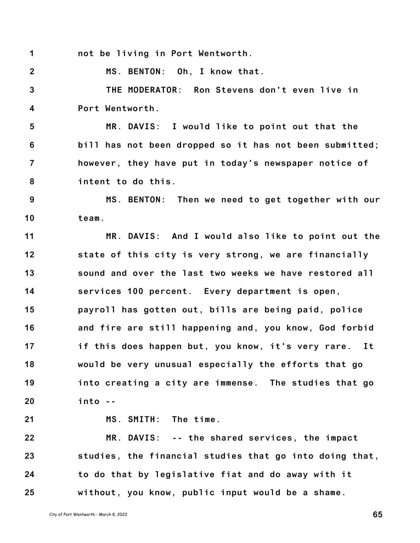**1 not be living in Port Wentworth.**

**2 MS. BENTON: Oh, I know that.**

**3 4 THE MODERATOR: Ron Stevens don't even live in Port Wentworth.**

**5 6 7 8 MR. DAVIS: I would like to point out that the bill has not been dropped so it has not been submitted; however, they have put in today's newspaper notice of intent to do this.**

**9 10 MS. BENTON: Then we need to get together with our team.**

**11 12 13 14 15 16 17 18 19 20 MR. DAVIS: And I would also like to point out the state of this city is very strong, we are financially sound and over the last two weeks we have restored all services 100 percent. Every department is open, payroll has gotten out, bills are being paid, police and fire are still happening and, you know, God forbid if this does happen but, you know, it's very rare. It would be very unusual especially the efforts that go into creating a city are immense. The studies that go into --**

**21**

**MS. SMITH: The time.**

**22 23 24 25 MR. DAVIS: -- the shared services, the impact studies, the financial studies that go into doing that, to do that by legislative fiat and do away with it without, you know, public input would be a shame.**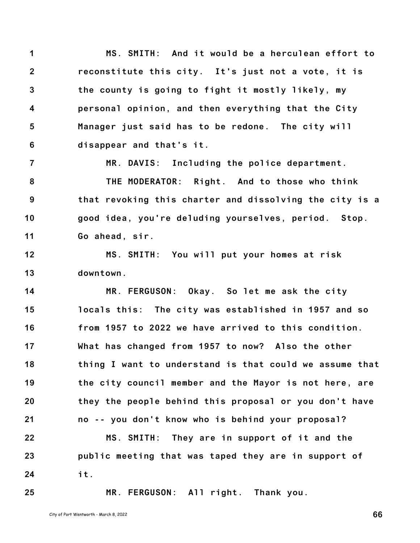**1 2 3 4 5 6 MS. SMITH: And it would be a herculean effort to reconstitute this city. It's just not a vote, it is the county is going to fight it mostly likely, my personal opinion, and then everything that the City Manager just said has to be redone. The city will disappear and that's it.**

**7 8 9 10 11 MR. DAVIS: Including the police department. THE MODERATOR: Right. And to those who think that revoking this charter and dissolving the city is a good idea, you're deluding yourselves, period. Stop. Go ahead, sir.**

**12 13 MS. SMITH: You will put your homes at risk downtown.**

**14 15 16 17 18 19 20 21 22 MR. FERGUSON: Okay. So let me ask the city locals this: The city was established in 1957 and so from 1957 to 2022 we have arrived to this condition. What has changed from 1957 to now? Also the other thing I want to understand is that could we assume that the city council member and the Mayor is not here, are they the people behind this proposal or you don't have no -- you don't know who is behind your proposal? MS. SMITH: They are in support of it and the**

**23 24 public meeting that was taped they are in support of it.**

**25**

**MR. FERGUSON: All right. Thank you.**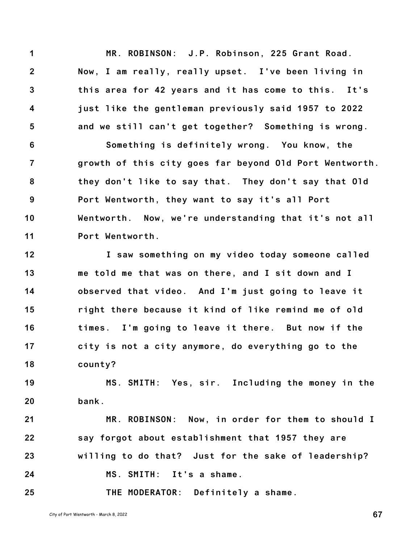**1 2 3 4 5 MR. ROBINSON: J.P. Robinson, 225 Grant Road. Now, I am really, really upset. I've been living in this area for 42 years and it has come to this. It's just like the gentleman previously said 1957 to 2022 and we still can't get together? Something is wrong.**

**6 7 8 9 10 11 Something is definitely wrong. You know, the growth of this city goes far beyond Old Port Wentworth. they don't like to say that. They don't say that Old Port Wentworth, they want to say it's all Port Wentworth. Now, we're understanding that it's not all Port Wentworth.**

**12 13 14 15 16 17 18 I saw something on my video today someone called me told me that was on there, and I sit down and I observed that video. And I'm just going to leave it right there because it kind of like remind me of old times. I'm going to leave it there. But now if the city is not a city anymore, do everything go to the county?**

**19 20 MS. SMITH: Yes, sir. Including the money in the bank.**

**21 22 23 24 MR. ROBINSON: Now, in order for them to should I say forgot about establishment that 1957 they are willing to do that? Just for the sake of leadership? MS. SMITH: It's a shame.**

**25 THE MODERATOR: Definitely a shame.**

City of Port Wentworth - March 8, <sup>2022</sup> **67**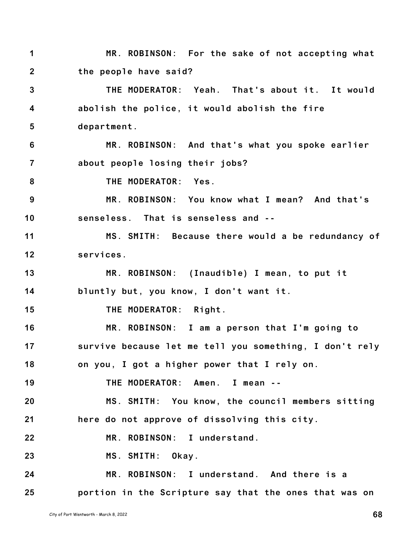**1 2 3 4 5 6 7 8 9 10 11 12 13 14 15 16 17 18 19 20 21 22 23 24 25 MR. ROBINSON: For the sake of not accepting what the people have said? THE MODERATOR: Yeah. That's about it. It would abolish the police, it would abolish the fire department. MR. ROBINSON: And that's what you spoke earlier about people losing their jobs? THE MODERATOR: Yes. MR. ROBINSON: You know what I mean? And that's senseless. That is senseless and -- MS. SMITH: Because there would a be redundancy of services. MR. ROBINSON: (Inaudible) I mean, to put it bluntly but, you know, I don't want it. THE MODERATOR: Right. MR. ROBINSON: I am a person that I'm going to survive because let me tell you something, I don't rely on you, I got a higher power that I rely on. THE MODERATOR: Amen. I mean -- MS. SMITH: You know, the council members sitting here do not approve of dissolving this city. MR. ROBINSON: I understand. MS. SMITH: Okay. MR. ROBINSON: I understand. And there is a portion in the Scripture say that the ones that was on**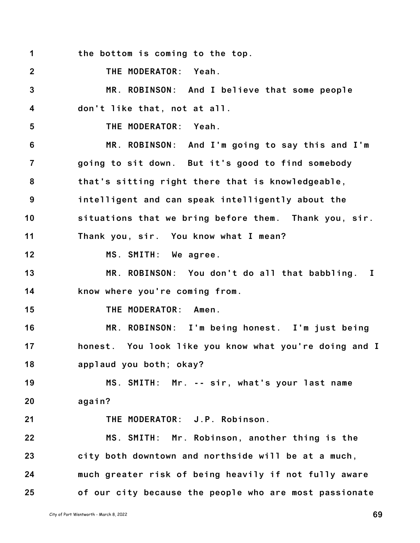**1 the bottom is coming to the top.**

**2 THE MODERATOR: Yeah.**

**3 4 MR. ROBINSON: And I believe that some people don't like that, not at all.**

**5 THE MODERATOR: Yeah.**

**6 7 8 9 10 11 MR. ROBINSON: And I'm going to say this and I'm going to sit down. But it's good to find somebody that's sitting right there that is knowledgeable, intelligent and can speak intelligently about the situations that we bring before them. Thank you, sir. Thank you, sir. You know what I mean?**

**12 MS. SMITH: We agree.**

**13 14 MR. ROBINSON: You don't do all that babbling. I know where you're coming from.**

**15 THE MODERATOR: Amen.**

**16 17 18 MR. ROBINSON: I'm being honest. I'm just being honest. You look like you know what you're doing and I applaud you both; okay?**

**19 20 MS. SMITH: Mr. -- sir, what's your last name again?**

**21 THE MODERATOR: J.P. Robinson.**

**22 23 24 25 MS. SMITH: Mr. Robinson, another thing is the city both downtown and northside will be at a much, much greater risk of being heavily if not fully aware of our city because the people who are most passionate**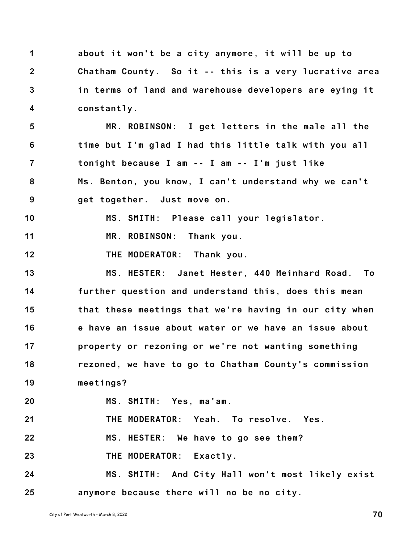**1 2 3 4 about it won't be a city anymore, it will be up to Chatham County. So it -- this is a very lucrative area in terms of land and warehouse developers are eying it constantly.**

**5 6 7 8 9 MR. ROBINSON: I get letters in the male all the time but I'm glad I had this little talk with you all tonight because I am -- I am -- I'm just like Ms. Benton, you know, I can't understand why we can't get together. Just move on.**

**10 MS. SMITH: Please call your legislator.**

**11 MR. ROBINSON: Thank you.**

**12 THE MODERATOR: Thank you.**

**13 14 15 16 17 18 19 MS. HESTER: Janet Hester, 440 Meinhard Road. To further question and understand this, does this mean that these meetings that we're having in our city when e have an issue about water or we have an issue about property or rezoning or we're not wanting something rezoned, we have to go to Chatham County's commission meetings?**

**20 MS. SMITH: Yes, ma'am.**

**21 THE MODERATOR: Yeah. To resolve. Yes.**

**22 MS. HESTER: We have to go see them?**

**23 THE MODERATOR: Exactly.**

**24 25 MS. SMITH: And City Hall won't most likely exist anymore because there will no be no city.**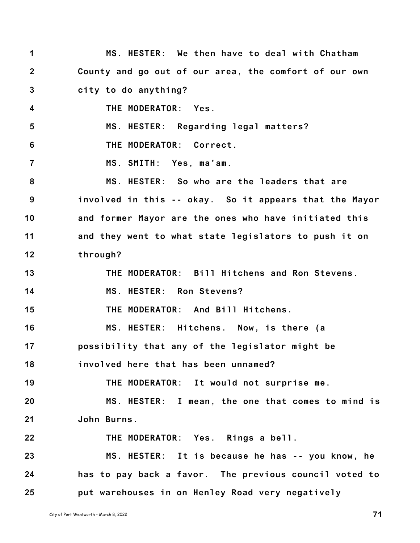**1 2 3 4 5 6 7 8 9 10 11 12 13 14 15 16 17 18 19 20 21 22 23 24 25 MS. HESTER: We then have to deal with Chatham County and go out of our area, the comfort of our own city to do anything? THE MODERATOR: Yes. MS. HESTER: Regarding legal matters? THE MODERATOR: Correct. MS. SMITH: Yes, ma'am. MS. HESTER: So who are the leaders that are involved in this -- okay. So it appears that the Mayor and former Mayor are the ones who have initiated this and they went to what state legislators to push it on through? THE MODERATOR: Bill Hitchens and Ron Stevens. MS. HESTER: Ron Stevens? THE MODERATOR: And Bill Hitchens. MS. HESTER: Hitchens. Now, is there (a possibility that any of the legislator might be involved here that has been unnamed? THE MODERATOR: It would not surprise me. MS. HESTER: I mean, the one that comes to mind is John Burns. THE MODERATOR: Yes. Rings a bell. MS. HESTER: It is because he has -- you know, he has to pay back a favor. The previous council voted to put warehouses in on Henley Road very negatively**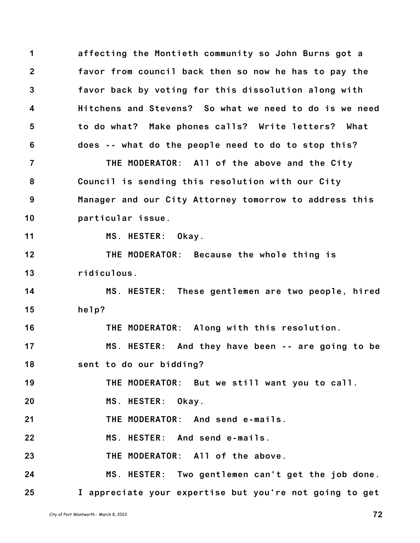**1 2 3 4 5 6 7 8 9 10 11 12 13 14 15 16 17 18 19 20 21 22 23 affecting the Montieth community so John Burns got a favor from council back then so now he has to pay the favor back by voting for this dissolution along with Hitchens and Stevens? So what we need to do is we need to do what? Make phones calls? Write letters? What does -- what do the people need to do to stop this? THE MODERATOR: All of the above and the City Council is sending this resolution with our City Manager and our City Attorney tomorrow to address this particular issue. MS. HESTER: Okay. THE MODERATOR: Because the whole thing is ridiculous. MS. HESTER: These gentlemen are two people, hired help? THE MODERATOR: Along with this resolution. MS. HESTER: And they have been -- are going to be sent to do our bidding? THE MODERATOR: But we still want you to call. MS. HESTER: Okay. THE MODERATOR: And send e-mails. MS. HESTER: And send e-mails. THE MODERATOR: All of the above.**

**24 25 MS. HESTER: Two gentlemen can't get the job done. I appreciate your expertise but you're not going to get**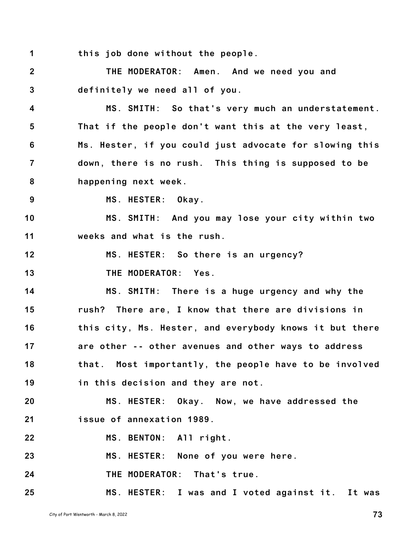**1 this job done without the people.**

**2 3 THE MODERATOR: Amen. And we need you and definitely we need all of you.**

**4 5 6 7 8 MS. SMITH: So that's very much an understatement. That if the people don't want this at the very least, Ms. Hester, if you could just advocate for slowing this down, there is no rush. This thing is supposed to be happening next week.**

**9 MS. HESTER: Okay.**

**10 11 MS. SMITH: And you may lose your city within two weeks and what is the rush.**

**12 MS. HESTER: So there is an urgency?**

**13 THE MODERATOR: Yes.**

**14 15 16 17 18 19 MS. SMITH: There is a huge urgency and why the rush? There are, I know that there are divisions in this city, Ms. Hester, and everybody knows it but there are other -- other avenues and other ways to address that. Most importantly, the people have to be involved in this decision and they are not.**

**20 21 MS. HESTER: Okay. Now, we have addressed the issue of annexation 1989.**

**22 MS. BENTON: All right.**

**23 MS. HESTER: None of you were here.**

**24 THE MODERATOR: That's true.**

**25 MS. HESTER: I was and I voted against it. It was**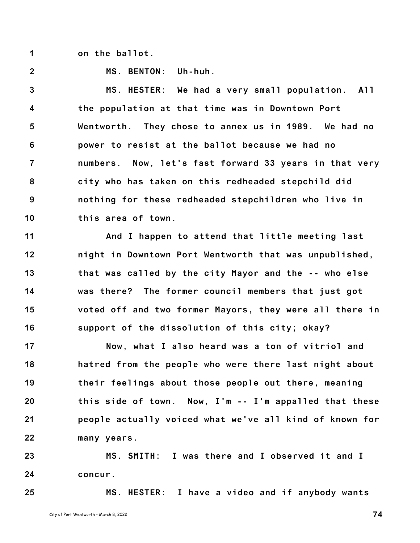**1 on the ballot.**

**2**

**MS. BENTON: Uh-huh.**

**3 4 5 6 7 8 9 10 MS. HESTER: We had a very small population. All the population at that time was in Downtown Port Wentworth. They chose to annex us in 1989. We had no power to resist at the ballot because we had no numbers. Now, let's fast forward 33 years in that very city who has taken on this redheaded stepchild did nothing for these redheaded stepchildren who live in this area of town.**

**11 12 13 14 15 16 And I happen to attend that little meeting last night in Downtown Port Wentworth that was unpublished, that was called by the city Mayor and the -- who else was there? The former council members that just got voted off and two former Mayors, they were all there in support of the dissolution of this city; okay?**

**17 18 19 20 21 22 Now, what I also heard was a ton of vitriol and hatred from the people who were there last night about their feelings about those people out there, meaning this side of town. Now, I'm -- I'm appalled that these people actually voiced what we've all kind of known for many years.**

**23 24 MS. SMITH: I was there and I observed it and I concur.**

**25**

**MS. HESTER: I have a video and if anybody wants**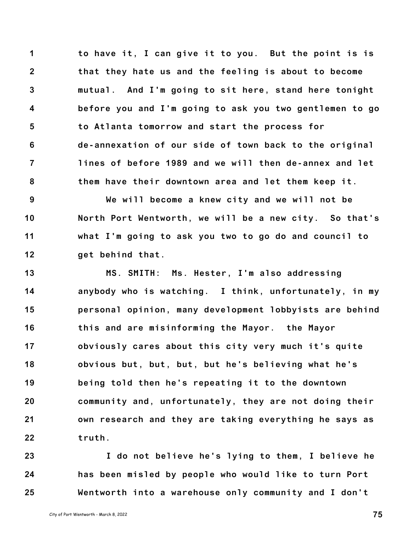**1 2 3 4 5 6 7 8 to have it, I can give it to you. But the point is is that they hate us and the feeling is about to become mutual. And I'm going to sit here, stand here tonight before you and I'm going to ask you two gentlemen to go to Atlanta tomorrow and start the process for de-annexation of our side of town back to the original lines of before 1989 and we will then de-annex and let them have their downtown area and let them keep it.**

**9 10 11 12 We will become a knew city and we will not be North Port Wentworth, we will be a new city. So that's what I'm going to ask you two to go do and council to get behind that.**

**13 14 15 16 17 18 19 20 21 22 MS. SMITH: Ms. Hester, I'm also addressing anybody who is watching. I think, unfortunately, in my personal opinion, many development lobbyists are behind this and are misinforming the Mayor. the Mayor obviously cares about this city very much it's quite obvious but, but, but, but he's believing what he's being told then he's repeating it to the downtown community and, unfortunately, they are not doing their own research and they are taking everything he says as truth.**

**23 24 25 I do not believe he's lying to them, I believe he has been misled by people who would like to turn Port Wentworth into a warehouse only community and I don't**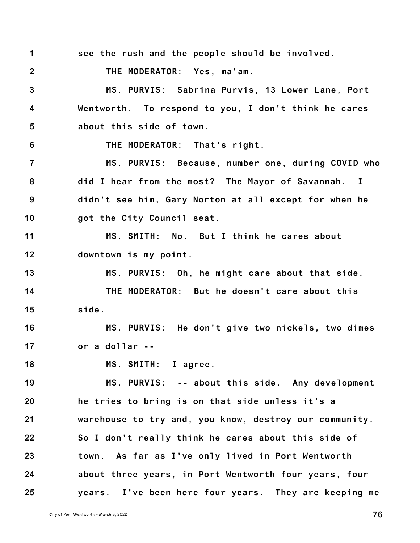**2 3 4 5 6 7 8 9 10 11 12 13 14 15 16 17 18 19 20 21 22 23 24 25** City of Port Wentworth - March 8, <sup>2022</sup> **76 THE MODERATOR: Yes, ma'am. MS. PURVIS: Sabrina Purvis, 13 Lower Lane, Port Wentworth. To respond to you, I don't think he cares about this side of town. THE MODERATOR: That's right. MS. PURVIS: Because, number one, during COVID who did I hear from the most? The Mayor of Savannah. I didn't see him, Gary Norton at all except for when he got the City Council seat. MS. SMITH: No. But I think he cares about downtown is my point. MS. PURVIS: Oh, he might care about that side. THE MODERATOR: But he doesn't care about this side. MS. PURVIS: He don't give two nickels, two dimes or a dollar -- MS. SMITH: I agree. MS. PURVIS: -- about this side. Any development he tries to bring is on that side unless it's a warehouse to try and, you know, destroy our community. So I don't really think he cares about this side of town. As far as I've only lived in Port Wentworth about three years, in Port Wentworth four years, four years. I've been here four years. They are keeping me**

**see the rush and the people should be involved.**

**1**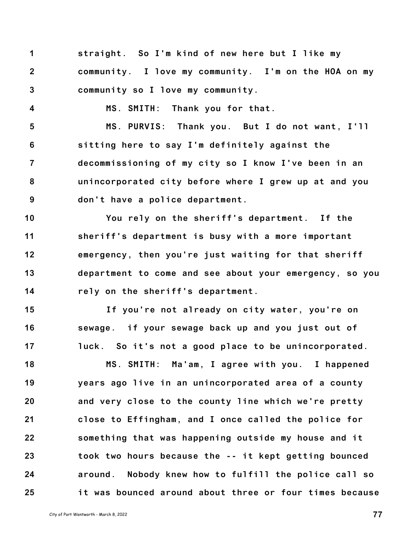**1 2 3 straight. So I'm kind of new here but I like my community. I love my community. I'm on the HOA on my community so I love my community.**

**MS. SMITH: Thank you for that.**

**5 6 7 8 9 MS. PURVIS: Thank you. But I do not want, I'll sitting here to say I'm definitely against the decommissioning of my city so I know I've been in an unincorporated city before where I grew up at and you don't have a police department.**

**10 11 12 13 14 You rely on the sheriff's department. If the sheriff's department is busy with a more important emergency, then you're just waiting for that sheriff department to come and see about your emergency, so you rely on the sheriff's department.**

**15 16 17 If you're not already on city water, you're on sewage. if your sewage back up and you just out of luck. So it's not a good place to be unincorporated.**

**18 19 20 21 22 23 24 25 MS. SMITH: Ma'am, I agree with you. I happened years ago live in an unincorporated area of a county and very close to the county line which we're pretty close to Effingham, and I once called the police for something that was happening outside my house and it took two hours because the -- it kept getting bounced around. Nobody knew how to fulfill the police call so it was bounced around about three or four times because**

**4**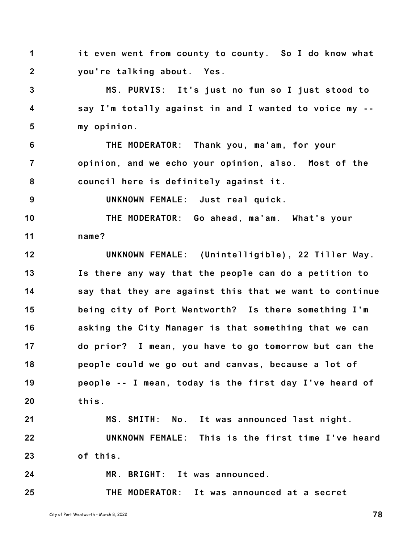**1 2 it even went from county to county. So I do know what you're talking about. Yes.**

**3 4 5 MS. PURVIS: It's just no fun so I just stood to say I'm totally against in and I wanted to voice my - my opinion.**

**6 7 8 THE MODERATOR: Thank you, ma'am, for your opinion, and we echo your opinion, also. Most of the council here is definitely against it.**

**UNKNOWN FEMALE: Just real quick.**

**10 11 THE MODERATOR: Go ahead, ma'am. What's your name?**

**12 13 14 15 16 17 18 19 20 21 22 UNKNOWN FEMALE: (Unintelligible), 22 Tiller Way. Is there any way that the people can do a petition to say that they are against this that we want to continue being city of Port Wentworth? Is there something I'm asking the City Manager is that something that we can do prior? I mean, you have to go tomorrow but can the people could we go out and canvas, because a lot of people -- I mean, today is the first day I've heard of this. MS. SMITH: No. It was announced last night. UNKNOWN FEMALE: This is the first time I've heard**

**23 of this.**

**24**

**9**

**MR. BRIGHT: It was announced.**

**25 THE MODERATOR: It was announced at a secret**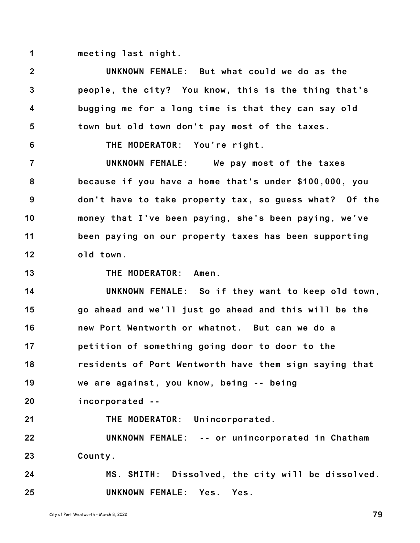**1 meeting last night.**

**2 3 4 5 6 7 8 9 10 11 12 UNKNOWN FEMALE: But what could we do as the people, the city? You know, this is the thing that's bugging me for a long time is that they can say old town but old town don't pay most of the taxes. THE MODERATOR: You're right. UNKNOWN FEMALE: We pay most of the taxes because if you have a home that's under \$100,000, you don't have to take property tax, so guess what? Of the money that I've been paying, she's been paying, we've been paying on our property taxes has been supporting old town.**

**13**

**THE MODERATOR: Amen.**

**14 15 16 17 18 19 20 21 UNKNOWN FEMALE: So if they want to keep old town, go ahead and we'll just go ahead and this will be the new Port Wentworth or whatnot. But can we do a petition of something going door to door to the residents of Port Wentworth have them sign saying that we are against, you know, being -- being incorporated -- THE MODERATOR: Unincorporated.**

**22 23 UNKNOWN FEMALE: -- or unincorporated in Chatham County.**

**24 25 MS. SMITH: Dissolved, the city will be dissolved. UNKNOWN FEMALE: Yes. Yes.**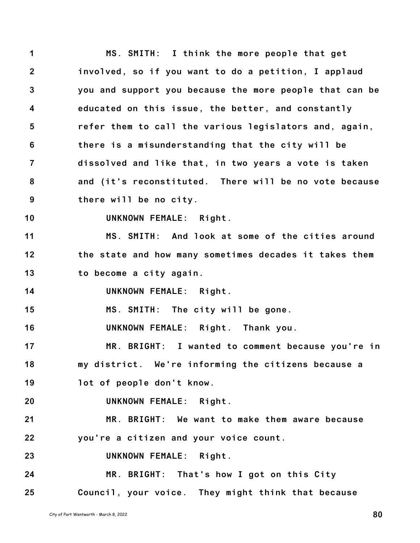**1 2 3 4 5 6 7 8 9 10 11 12 13 14 15 16 17 18 19 20 21 22 23 24 25 MS. SMITH: I think the more people that get involved, so if you want to do a petition, I applaud you and support you because the more people that can be educated on this issue, the better, and constantly refer them to call the various legislators and, again, there is a misunderstanding that the city will be dissolved and like that, in two years a vote is taken and (it's reconstituted. There will be no vote because there will be no city. UNKNOWN FEMALE: Right. MS. SMITH: And look at some of the cities around the state and how many sometimes decades it takes them to become a city again. UNKNOWN FEMALE: Right. MS. SMITH: The city will be gone. UNKNOWN FEMALE: Right. Thank you. MR. BRIGHT: I wanted to comment because you're in my district. We're informing the citizens because a lot of people don't know. UNKNOWN FEMALE: Right. MR. BRIGHT: We want to make them aware because you're a citizen and your voice count. UNKNOWN FEMALE: Right. MR. BRIGHT: That's how I got on this City Council, your voice. They might think that because**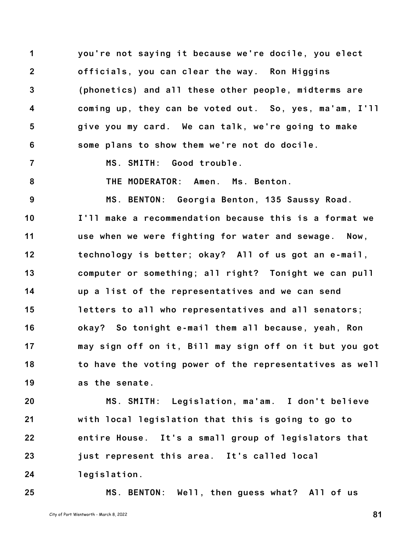**1 2 3 4 5 6 you're not saying it because we're docile, you elect officials, you can clear the way. Ron Higgins (phonetics) and all these other people, midterms are coming up, they can be voted out. So, yes, ma'am, I'll give you my card. We can talk, we're going to make some plans to show them we're not do docile.**

**7 MS. SMITH: Good trouble.**

**8**

**THE MODERATOR: Amen. Ms. Benton.**

**9 10 11 12 13 14 15 16 17 18 19 MS. BENTON: Georgia Benton, 135 Saussy Road. I'll make a recommendation because this is a format we use when we were fighting for water and sewage. Now, technology is better; okay? All of us got an e-mail, computer or something; all right? Tonight we can pull up a list of the representatives and we can send letters to all who representatives and all senators; okay? So tonight e-mail them all because, yeah, Ron may sign off on it, Bill may sign off on it but you got to have the voting power of the representatives as well as the senate.**

**20 21 22 23 24 MS. SMITH: Legislation, ma'am. I don't believe with local legislation that this is going to go to entire House. It's a small group of legislators that just represent this area. It's called local legislation.**

**25 MS. BENTON: Well, then guess what? All of us**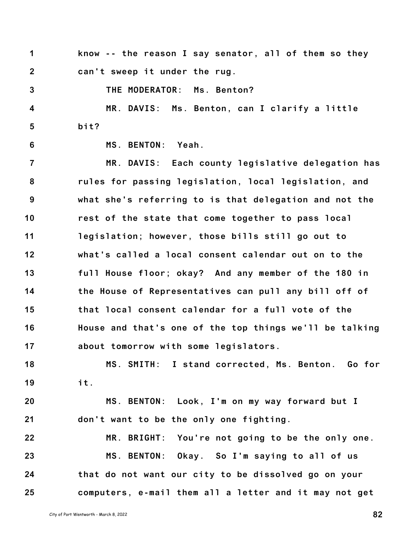**1 2 know -- the reason I say senator, all of them so they can't sweep it under the rug.**

**THE MODERATOR: Ms. Benton?**

**4 5 MR. DAVIS: Ms. Benton, can I clarify a little bit?**

**6**

**3**

**MS. BENTON: Yeah.**

**7 8 9 10 11 12 13 14 15 16 17 MR. DAVIS: Each county legislative delegation has rules for passing legislation, local legislation, and what she's referring to is that delegation and not the rest of the state that come together to pass local legislation; however, those bills still go out to what's called a local consent calendar out on to the full House floor; okay? And any member of the 180 in the House of Representatives can pull any bill off of that local consent calendar for a full vote of the House and that's one of the top things we'll be talking about tomorrow with some legislators.**

**18 19 MS. SMITH: I stand corrected, Ms. Benton. Go for it.**

**20 21 MS. BENTON: Look, I'm on my way forward but I don't want to be the only one fighting.**

**22 23 24 25 MR. BRIGHT: You're not going to be the only one. MS. BENTON: Okay. So I'm saying to all of us that do not want our city to be dissolved go on your computers, e-mail them all a letter and it may not get**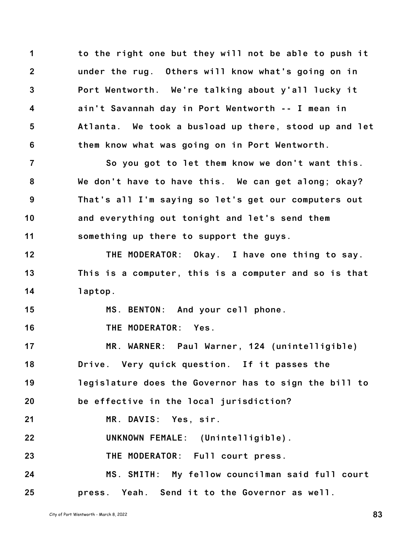**1 2 3 4 5 6 to the right one but they will not be able to push it under the rug. Others will know what's going on in Port Wentworth. We're talking about y'all lucky it ain't Savannah day in Port Wentworth -- I mean in Atlanta. We took a busload up there, stood up and let them know what was going on in Port Wentworth.**

**7 8 9 10 11 So you got to let them know we don't want this. We don't have to have this. We can get along; okay? That's all I'm saying so let's get our computers out and everything out tonight and let's send them something up there to support the guys.**

**12 13 14 THE MODERATOR: Okay. I have one thing to say. This is a computer, this is a computer and so is that laptop.**

**15 MS. BENTON: And your cell phone.**

**16 THE MODERATOR: Yes.**

**17 18 19 20 21 22 23 24 MR. WARNER: Paul Warner, 124 (unintelligible) Drive. Very quick question. If it passes the legislature does the Governor has to sign the bill to be effective in the local jurisdiction? MR. DAVIS: Yes, sir. UNKNOWN FEMALE: (Unintelligible). THE MODERATOR: Full court press. MS. SMITH: My fellow councilman said full court**

**25 press. Yeah. Send it to the Governor as well.**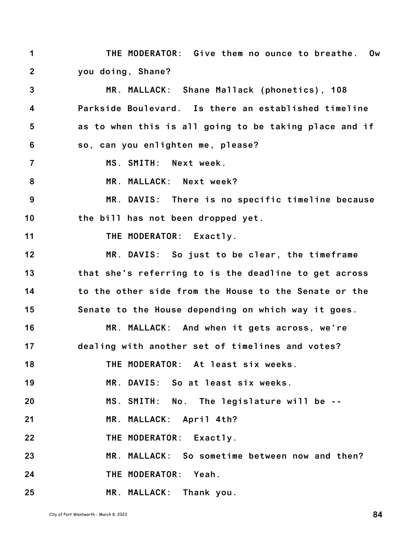**1 2 THE MODERATOR: Give them no ounce to breathe. Ow you doing, Shane?**

**3 4 5 6 7 8 9 10 11 12 13 14 15 16 17 18 19 20 21 22 23 24 25 MR. MALLACK: Shane Mallack (phonetics), 108 Parkside Boulevard. Is there an established timeline as to when this is all going to be taking place and if so, can you enlighten me, please? MS. SMITH: Next week. MR. MALLACK: Next week? MR. DAVIS: There is no specific timeline because the bill has not been dropped yet. THE MODERATOR: Exactly. MR. DAVIS: So just to be clear, the timeframe that she's referring to is the deadline to get across to the other side from the House to the Senate or the Senate to the House depending on which way it goes. MR. MALLACK: And when it gets across, we're dealing with another set of timelines and votes? THE MODERATOR: At least six weeks. MR. DAVIS: So at least six weeks. MS. SMITH: No. The legislature will be -- MR. MALLACK: April 4th? THE MODERATOR: Exactly. MR. MALLACK: So sometime between now and then? THE MODERATOR: Yeah. MR. MALLACK: Thank you.**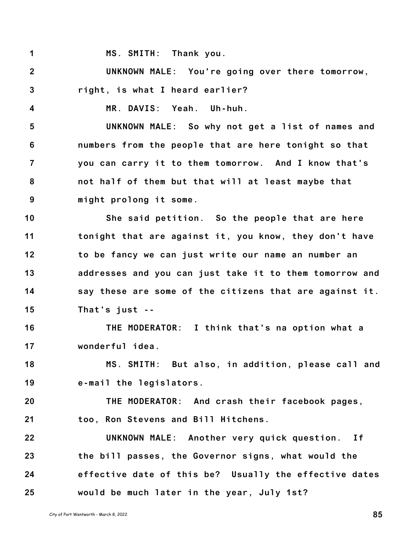**1 2 3 4 5 6 7 8 MS. SMITH: Thank you. UNKNOWN MALE: You're going over there tomorrow, right, is what I heard earlier? MR. DAVIS: Yeah. Uh-huh. UNKNOWN MALE: So why not get a list of names and numbers from the people that are here tonight so that you can carry it to them tomorrow. And I know that's not half of them but that will at least maybe that**

**9 might prolong it some.**

**10 11 12 13 14 15 She said petition. So the people that are here tonight that are against it, you know, they don't have to be fancy we can just write our name an number an addresses and you can just take it to them tomorrow and say these are some of the citizens that are against it. That's just --**

**16 17 THE MODERATOR: I think that's na option what a wonderful idea.**

**18 19 MS. SMITH: But also, in addition, please call and e-mail the legislators.**

**20 21 THE MODERATOR: And crash their facebook pages, too, Ron Stevens and Bill Hitchens.**

**22 23 24 25 UNKNOWN MALE: Another very quick question. If the bill passes, the Governor signs, what would the effective date of this be? Usually the effective dates would be much later in the year, July 1st?**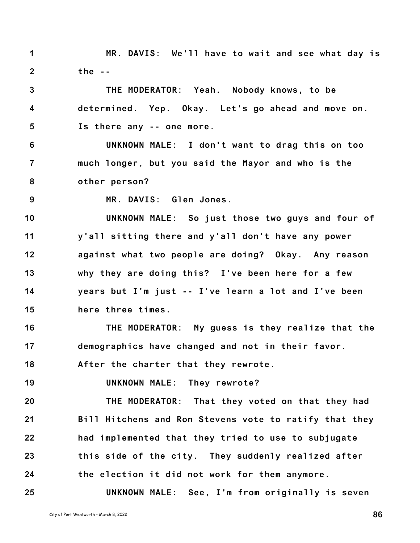**1 2 MR. DAVIS: We'll have to wait and see what day is the --**

**3 4 5 THE MODERATOR: Yeah. Nobody knows, to be determined. Yep. Okay. Let's go ahead and move on. Is there any -- one more.**

**6 7 8 UNKNOWN MALE: I don't want to drag this on too much longer, but you said the Mayor and who is the other person?**

**9**

**25**

**MR. DAVIS: Glen Jones.**

**10 11 12 13 14 15 UNKNOWN MALE: So just those two guys and four of y'all sitting there and y'all don't have any power against what two people are doing? Okay. Any reason why they are doing this? I've been here for a few years but I'm just -- I've learn a lot and I've been here three times.**

**16 17 THE MODERATOR: My guess is they realize that the demographics have changed and not in their favor.**

**18 After the charter that they rewrote.**

**19 UNKNOWN MALE: They rewrote?**

**20 21 22 23 24 THE MODERATOR: That they voted on that they had Bill Hitchens and Ron Stevens vote to ratify that they had implemented that they tried to use to subjugate this side of the city. They suddenly realized after the election it did not work for them anymore.**

**UNKNOWN MALE: See, I'm from originally is seven**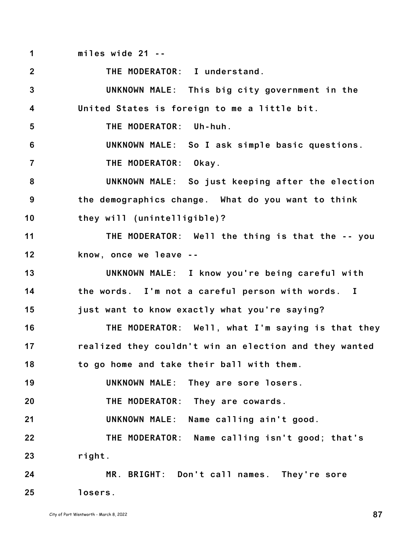**1 miles wide 21 --**

**2 3 4 5 6 7 8 9 10 11 12 13 14 15 16 17 18 19 20 21 22 23 24 25 THE MODERATOR: I understand. UNKNOWN MALE: This big city government in the United States is foreign to me a little bit. THE MODERATOR: Uh-huh. UNKNOWN MALE: So I ask simple basic questions. THE MODERATOR: Okay. UNKNOWN MALE: So just keeping after the election the demographics change. What do you want to think they will (unintelligible)? THE MODERATOR: Well the thing is that the -- you know, once we leave -- UNKNOWN MALE: I know you're being careful with the words. I'm not a careful person with words. I just want to know exactly what you're saying? THE MODERATOR: Well, what I'm saying is that they realized they couldn't win an election and they wanted to go home and take their ball with them. UNKNOWN MALE: They are sore losers. THE MODERATOR: They are cowards. UNKNOWN MALE: Name calling ain't good. THE MODERATOR: Name calling isn't good; that's right. MR. BRIGHT: Don't call names. They're sore losers.**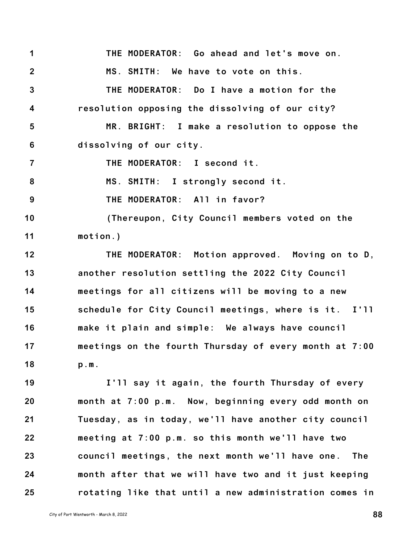**1 2 3 4 5 6 THE MODERATOR: Go ahead and let's move on. MS. SMITH: We have to vote on this. THE MODERATOR: Do I have a motion for the resolution opposing the dissolving of our city? MR. BRIGHT: I make a resolution to oppose the dissolving of our city.**

**7 THE MODERATOR: I second it.**

**8 MS. SMITH: I strongly second it.**

**9 THE MODERATOR: All in favor?**

**10 11 (Thereupon, City Council members voted on the motion.)**

**12 13 14 15 16 17 18 THE MODERATOR: Motion approved. Moving on to D, another resolution settling the 2022 City Council meetings for all citizens will be moving to a new schedule for City Council meetings, where is it. I'll make it plain and simple: We always have council meetings on the fourth Thursday of every month at 7:00 p.m.**

**19 20 21 22 23 24 25 I'll say it again, the fourth Thursday of every month at 7:00 p.m. Now, beginning every odd month on Tuesday, as in today, we'll have another city council meeting at 7:00 p.m. so this month we'll have two council meetings, the next month we'll have one. The month after that we will have two and it just keeping rotating like that until a new administration comes in**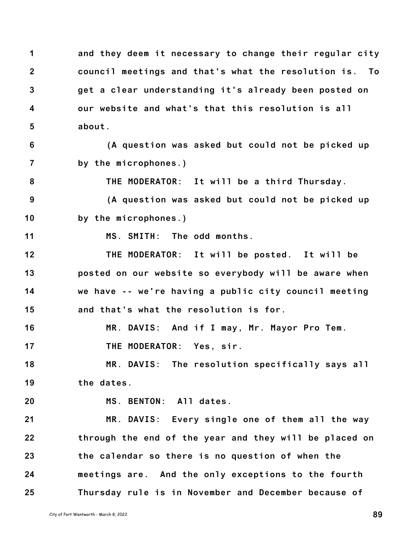**1 2 3 4 5 and they deem it necessary to change their regular city council meetings and that's what the resolution is. To get a clear understanding it's already been posted on our website and what's that this resolution is all about.**

**6 7 (A question was asked but could not be picked up by the microphones.)**

**8 THE MODERATOR: It will be a third Thursday.**

**9 10 (A question was asked but could not be picked up by the microphones.)**

**11 MS. SMITH: The odd months.**

**12 13 14 15 THE MODERATOR: It will be posted. It will be posted on our website so everybody will be aware when we have -- we're having a public city council meeting and that's what the resolution is for.**

**16 MR. DAVIS: And if I may, Mr. Mayor Pro Tem.**

**17 THE MODERATOR: Yes, sir.**

**18 19 MR. DAVIS: The resolution specifically says all the dates.**

**20**

**MS. BENTON: All dates.**

**21 22 23 24 25 MR. DAVIS: Every single one of them all the way through the end of the year and they will be placed on the calendar so there is no question of when the meetings are. And the only exceptions to the fourth Thursday rule is in November and December because of**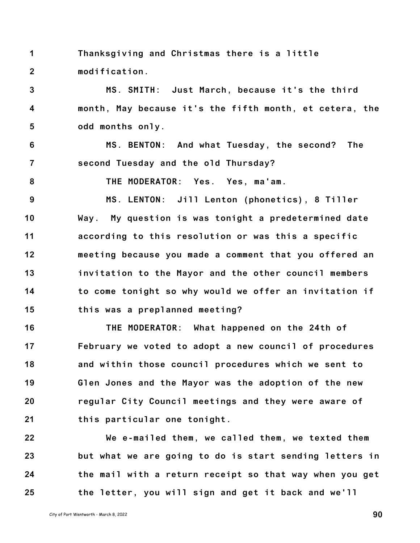**1 2 Thanksgiving and Christmas there is a little modification.**

**3 4 5 MS. SMITH: Just March, because it's the third month, May because it's the fifth month, et cetera, the odd months only.**

**6 7 MS. BENTON: And what Tuesday, the second? The second Tuesday and the old Thursday?**

**8**

**THE MODERATOR: Yes. Yes, ma'am.**

**9 10 11 12 13 14 15 MS. LENTON: Jill Lenton (phonetics), 8 Tiller Way. My question is was tonight a predetermined date according to this resolution or was this a specific meeting because you made a comment that you offered an invitation to the Mayor and the other council members to come tonight so why would we offer an invitation if this was a preplanned meeting?**

**16 17 18 19 20 21 THE MODERATOR: What happened on the 24th of February we voted to adopt a new council of procedures and within those council procedures which we sent to Glen Jones and the Mayor was the adoption of the new regular City Council meetings and they were aware of this particular one tonight.**

**22 23 24 25 We e-mailed them, we called them, we texted them but what we are going to do is start sending letters in the mail with a return receipt so that way when you get the letter, you will sign and get it back and we'll**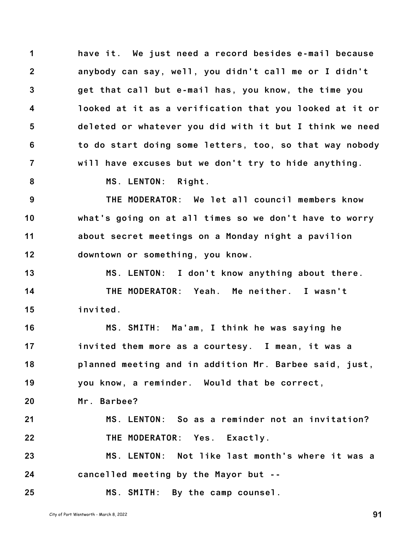**1 2 3 4 5 6 7 have it. We just need a record besides e-mail because anybody can say, well, you didn't call me or I didn't get that call but e-mail has, you know, the time you looked at it as a verification that you looked at it or deleted or whatever you did with it but I think we need to do start doing some letters, too, so that way nobody will have excuses but we don't try to hide anything.**

**8**

**MS. LENTON: Right.**

**9 10 11 12 THE MODERATOR: We let all council members know what's going on at all times so we don't have to worry about secret meetings on a Monday night a pavilion downtown or something, you know.**

**13 14 15 MS. LENTON: I don't know anything about there. THE MODERATOR: Yeah. Me neither. I wasn't invited.**

**16 17 18 19 MS. SMITH: Ma'am, I think he was saying he invited them more as a courtesy. I mean, it was a planned meeting and in addition Mr. Barbee said, just, you know, a reminder. Would that be correct,**

**20 Mr. Barbee?**

**21 22 MS. LENTON: So as a reminder not an invitation? THE MODERATOR: Yes. Exactly.**

**23 24 MS. LENTON: Not like last month's where it was a cancelled meeting by the Mayor but --**

**MS. SMITH: By the camp counsel.**

City of Port Wentworth - March 8, <sup>2022</sup> **91**

**25**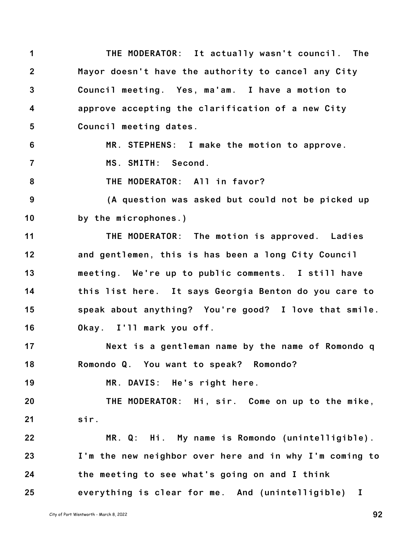**1 2 3 4 5 THE MODERATOR: It actually wasn't council. The Mayor doesn't have the authority to cancel any City Council meeting. Yes, ma'am. I have a motion to approve accepting the clarification of a new City Council meeting dates.**

**6 7 MR. STEPHENS: I make the motion to approve. MS. SMITH: Second.**

**8 THE MODERATOR: All in favor?**

**9 10 (A question was asked but could not be picked up by the microphones.)**

**11 12 13 14 15 16 THE MODERATOR: The motion is approved. Ladies and gentlemen, this is has been a long City Council meeting. We're up to public comments. I still have this list here. It says Georgia Benton do you care to speak about anything? You're good? I love that smile. Okay. I'll mark you off.**

**17 18 Next is a gentleman name by the name of Romondo q Romondo Q. You want to speak? Romondo?**

**19 MR. DAVIS: He's right here.**

**20 21 THE MODERATOR: Hi, sir. Come on up to the mike, sir.**

**22 23 24 25 MR. Q: Hi. My name is Romondo (unintelligible). I'm the new neighbor over here and in why I'm coming to the meeting to see what's going on and I think everything is clear for me. And (unintelligible) I**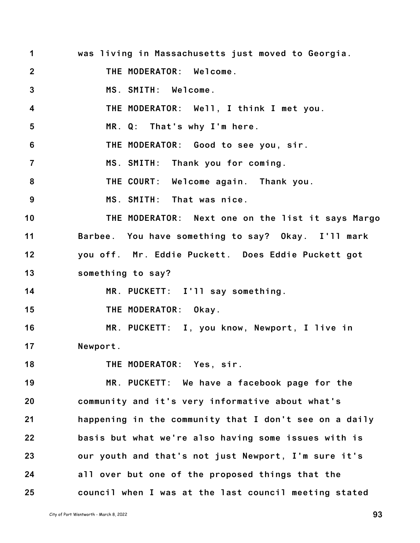**1 2 3 4 5 6 7 8 9 10 11 12 13 14 15 16 17 18 19 20 21 22 23 24 25 was living in Massachusetts just moved to Georgia. THE MODERATOR: Welcome. MS. SMITH: Welcome. THE MODERATOR: Well, I think I met you. MR. Q: That's why I'm here. THE MODERATOR: Good to see you, sir. MS. SMITH: Thank you for coming. THE COURT: Welcome again. Thank you. MS. SMITH: That was nice. THE MODERATOR: Next one on the list it says Margo Barbee. You have something to say? Okay. I'll mark you off. Mr. Eddie Puckett. Does Eddie Puckett got something to say? MR. PUCKETT: I'll say something. THE MODERATOR: Okay. MR. PUCKETT: I, you know, Newport, I live in Newport. THE MODERATOR: Yes, sir. MR. PUCKETT: We have a facebook page for the community and it's very informative about what's happening in the community that I don't see on a daily basis but what we're also having some issues with is our youth and that's not just Newport, I'm sure it's all over but one of the proposed things that the council when I was at the last council meeting stated**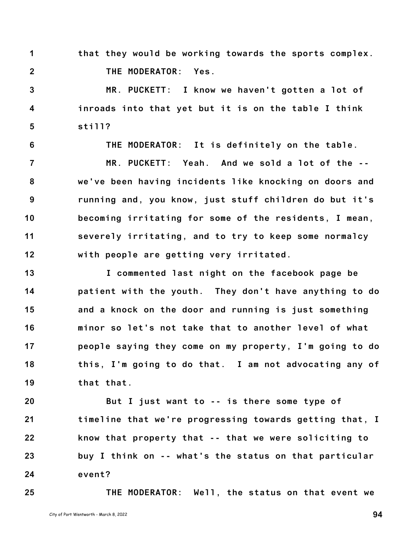**1 2 that they would be working towards the sports complex. THE MODERATOR: Yes.**

**3 4 5 MR. PUCKETT: I know we haven't gotten a lot of inroads into that yet but it is on the table I think still?**

**THE MODERATOR: It is definitely on the table.**

**7 8 9 10 11 12 MR. PUCKETT: Yeah. And we sold a lot of the - we've been having incidents like knocking on doors and running and, you know, just stuff children do but it's becoming irritating for some of the residents, I mean, severely irritating, and to try to keep some normalcy with people are getting very irritated.**

**13 14 15 16 17 18 19 I commented last night on the facebook page be patient with the youth. They don't have anything to do and a knock on the door and running is just something minor so let's not take that to another level of what people saying they come on my property, I'm going to do this, I'm going to do that. I am not advocating any of that that.**

**20 21 22 23 24 But I just want to -- is there some type of timeline that we're progressing towards getting that, I know that property that -- that we were soliciting to buy I think on -- what's the status on that particular event?**

**THE MODERATOR: Well, the status on that event we**

**25**

**6**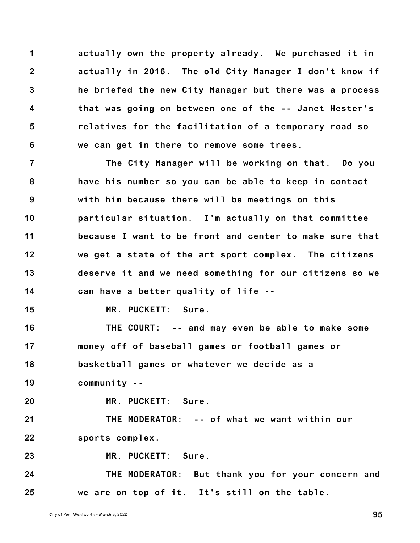**1 2 3 4 5 6 actually own the property already. We purchased it in actually in 2016. The old City Manager I don't know if he briefed the new City Manager but there was a process that was going on between one of the -- Janet Hester's relatives for the facilitation of a temporary road so we can get in there to remove some trees.**

**7 8 9 10 11 12 13 14 The City Manager will be working on that. Do you have his number so you can be able to keep in contact with him because there will be meetings on this particular situation. I'm actually on that committee because I want to be front and center to make sure that we get a state of the art sport complex. The citizens deserve it and we need something for our citizens so we can have a better quality of life --**

**15**

**MR. PUCKETT: Sure.**

**16 17 18 19 THE COURT: -- and may even be able to make some money off of baseball games or football games or basketball games or whatever we decide as a community --**

**20**

**MR. PUCKETT: Sure.**

**21 22 THE MODERATOR: -- of what we want within our sports complex.**

**23 MR. PUCKETT: Sure.**

**24 25 THE MODERATOR: But thank you for your concern and we are on top of it. It's still on the table.**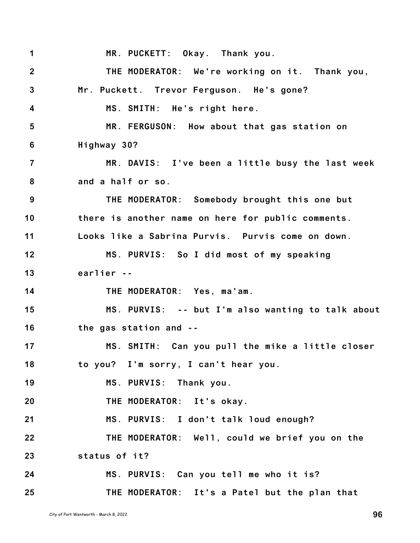**1 2 3 4 5 6 7 8 9 10 11 12 13 14 15 16 17 18 19 20 21 22 23 24 25 MR. PUCKETT: Okay. Thank you. THE MODERATOR: We're working on it. Thank you, Mr. Puckett. Trevor Ferguson. He's gone? MS. SMITH: He's right here. MR. FERGUSON: How about that gas station on Highway 30? MR. DAVIS: I've been a little busy the last week and a half or so. THE MODERATOR: Somebody brought this one but there is another name on here for public comments. Looks like a Sabrina Purvis. Purvis come on down. MS. PURVIS: So I did most of my speaking earlier -- THE MODERATOR: Yes, ma'am. MS. PURVIS: -- but I'm also wanting to talk about the gas station and -- MS. SMITH: Can you pull the mike a little closer to you? I'm sorry, I can't hear you. MS. PURVIS: Thank you. THE MODERATOR: It's okay. MS. PURVIS: I don't talk loud enough? THE MODERATOR: Well, could we brief you on the status of it? MS. PURVIS: Can you tell me who it is? THE MODERATOR: It's a Patel but the plan that**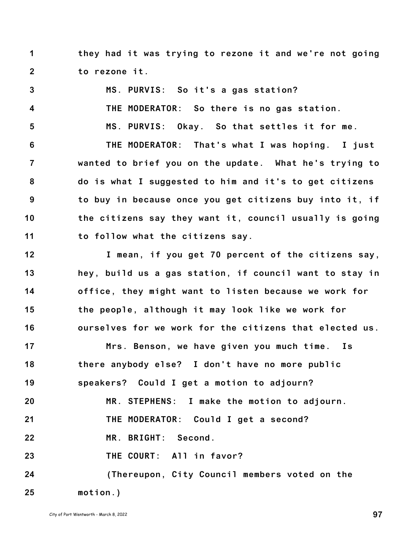**1 2 they had it was trying to rezone it and we're not going to rezone it.**

**3 4 5 6 7 8 9 10 11 12 13 14 15 16 17 18 19 20 21 22 23 24 25 MS. PURVIS: So it's a gas station? THE MODERATOR: So there is no gas station. MS. PURVIS: Okay. So that settles it for me. THE MODERATOR: That's what I was hoping. I just wanted to brief you on the update. What he's trying to do is what I suggested to him and it's to get citizens to buy in because once you get citizens buy into it, if the citizens say they want it, council usually is going to follow what the citizens say. I mean, if you get 70 percent of the citizens say, hey, build us a gas station, if council want to stay in office, they might want to listen because we work for the people, although it may look like we work for ourselves for we work for the citizens that elected us. Mrs. Benson, we have given you much time. Is there anybody else? I don't have no more public speakers? Could I get a motion to adjourn? MR. STEPHENS: I make the motion to adjourn. THE MODERATOR: Could I get a second? MR. BRIGHT: Second. THE COURT: All in favor? (Thereupon, City Council members voted on the motion.)**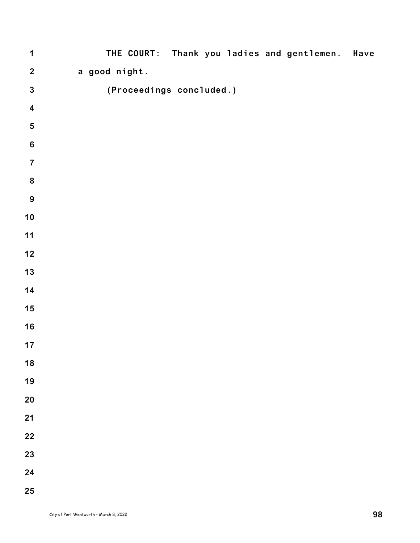| $\mathbf 1$             | THE COURT: Thank you ladies and gentlemen. Have |
|-------------------------|-------------------------------------------------|
| $\mathbf 2$             | a good night.                                   |
| $\mathbf{3}$            | (Proceedings concluded.)                        |
| $\overline{\mathbf{4}}$ |                                                 |
| ${\bf 5}$               |                                                 |
| $\bf 6$                 |                                                 |
| $\overline{7}$          |                                                 |
| ${\bf 8}$               |                                                 |
| $9\,$                   |                                                 |
| $10$                    |                                                 |
| $11$                    |                                                 |
| 12                      |                                                 |
| $13$                    |                                                 |
| 14                      |                                                 |
| 15                      |                                                 |
| 16                      |                                                 |
| 17                      |                                                 |
| 18                      |                                                 |
| 19                      |                                                 |
| 20                      |                                                 |
| 21                      |                                                 |
| 22                      |                                                 |
| 23                      |                                                 |
| 24                      |                                                 |
| 25                      |                                                 |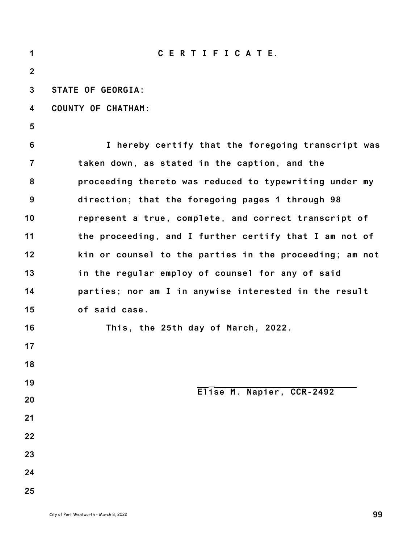| 1              | CERTIFICATE.                                            |
|----------------|---------------------------------------------------------|
| $\overline{2}$ |                                                         |
| 3              | <b>STATE OF GEORGIA:</b>                                |
| 4              | <b>COUNTY OF CHATHAM:</b>                               |
| 5              |                                                         |
| 6              | I hereby certify that the foregoing transcript was      |
| $\overline{7}$ | taken down, as stated in the caption, and the           |
| 8              | proceeding thereto was reduced to typewriting under my  |
| 9              | direction; that the foregoing pages 1 through 98        |
| 10             | represent a true, complete, and correct transcript of   |
| 11             | the proceeding, and I further certify that I am not of  |
| 12             | kin or counsel to the parties in the proceeding; am not |
| 13             | in the regular employ of counsel for any of said        |
| 14             | parties; nor am I in anywise interested in the result   |
| 15             | of said case.                                           |
| 16             | This, the 25th day of March, 2022.                      |
| 17             |                                                         |
| 18             |                                                         |
| 19             | Elise M. Napier, CCR-2492                               |
| 20             |                                                         |
| 21             |                                                         |
| 22             |                                                         |
| 23             |                                                         |
| 24             |                                                         |
| 25             |                                                         |